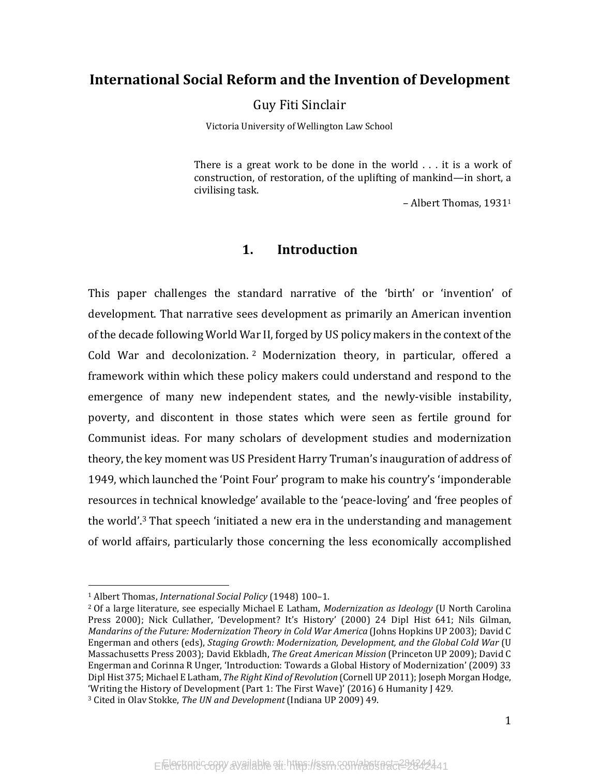# **International Social Reform and the Invention of Development**

## Guy Fiti Sinclair

Victoria University of Wellington Law School

There is a great work to be done in the world . . . it is a work of construction, of restoration, of the uplifting of mankind—in short, a civilising task.

– Albert Thomas, 1931<sup>1</sup>

## **1. Introduction**

This paper challenges the standard narrative of the 'birth' or 'invention' of development. That narrative sees development as primarily an American invention of the decade following World War II, forged by US policy makers in the context of the Cold War and decolonization. <sup>2</sup> Modernization theory, in particular, offered a framework within which these policy makers could understand and respond to the emergence of many new independent states, and the newly-visible instability, poverty, and discontent in those states which were seen as fertile ground for Communist ideas. For many scholars of development studies and modernization theory, the key moment was US President Harry Truman's inauguration of address of 1949, which launched the 'Point Four' program to make his country's 'imponderable resources in technical knowledge' available to the 'peace-loving' and 'free peoples of the world'.<sup>3</sup> That speech 'initiated a new era in the understanding and management of world affairs, particularly those concerning the less economically accomplished

<sup>1</sup> Albert Thomas, *International Social Policy* (1948) 100–1.

<sup>2</sup> Of a large literature, see especially Michael E Latham, *Modernization as Ideology* (U North Carolina Press 2000); Nick Cullather, 'Development? It's History' (2000) 24 Dipl Hist 641; Nils Gilman, *Mandarins of the Future: Modernization Theory in Cold War America* (Johns Hopkins UP 2003); David C Engerman and others (eds), *Staging Growth: Modernization, Development, and the Global Cold War* (U Massachusetts Press 2003); David Ekbladh, *The Great American Mission* (Princeton UP 2009); David C Engerman and Corinna R Unger, 'Introduction: Towards a Global History of Modernization' (2009) 33 Dipl Hist 375; Michael E Latham, *The Right Kind of Revolution* (Cornell UP 2011); Joseph Morgan Hodge, 'Writing the History of Development (Part 1: The First Wave)' (2016) 6 Humanity J 429.

<sup>3</sup> Cited in Olav Stokke, *The UN and Development* (Indiana UP 2009) 49.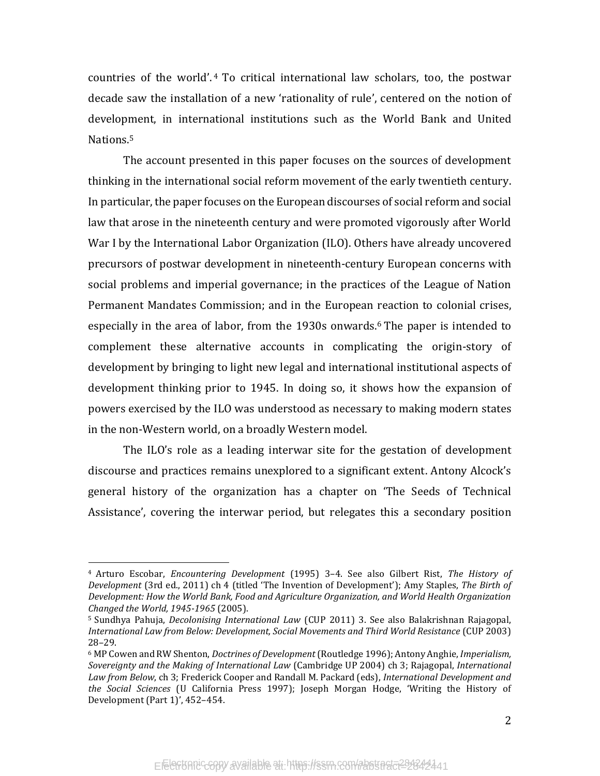countries of the world'. <sup>4</sup> To critical international law scholars, too, the postwar decade saw the installation of a new 'rationality of rule', centered on the notion of development, in international institutions such as the World Bank and United Nations. 5

The account presented in this paper focuses on the sources of development thinking in the international social reform movement of the early twentieth century. In particular, the paper focuses on the European discourses of social reform and social law that arose in the nineteenth century and were promoted vigorously after World War I by the International Labor Organization (ILO). Others have already uncovered precursors of postwar development in nineteenth-century European concerns with social problems and imperial governance; in the practices of the League of Nation Permanent Mandates Commission; and in the European reaction to colonial crises, especially in the area of labor, from the 1930s onwards.<sup>6</sup> The paper is intended to complement these alternative accounts in complicating the origin-story of development by bringing to light new legal and international institutional aspects of development thinking prior to 1945. In doing so, it shows how the expansion of powers exercised by the ILO was understood as necessary to making modern states in the non-Western world, on a broadly Western model.

The ILO's role as a leading interwar site for the gestation of development discourse and practices remains unexplored to a significant extent. Antony Alcock's general history of the organization has a chapter on 'The Seeds of Technical Assistance', covering the interwar period, but relegates this a secondary position

<sup>4</sup> Arturo Escobar, *Encountering Development* (1995) 3–4. See also Gilbert Rist, *The History of Development* (3rd ed., 2011) ch 4 (titled 'The Invention of Development'); Amy Staples, *The Birth of Development: How the World Bank, Food and Agriculture Organization, and World Health Organization Changed the World, 1945-1965* (2005).

<sup>5</sup> Sundhya Pahuja, *Decolonising International Law* (CUP 2011) 3. See also Balakrishnan Rajagopal, *International Law from Below: Development, Social Movements and Third World Resistance* (CUP 2003) 28–29.

<sup>6</sup> MP Cowen and RW Shenton, *Doctrines of Development* (Routledge 1996); Antony Anghie, *Imperialism, Sovereignty and the Making of International Law* (Cambridge UP 2004) ch 3; Rajagopal, *International Law from Below*, ch 3; Frederick Cooper and Randall M. Packard (eds), *International Development and the Social Sciences* (U California Press 1997); Joseph Morgan Hodge, 'Writing the History of Development (Part 1)', 452–454.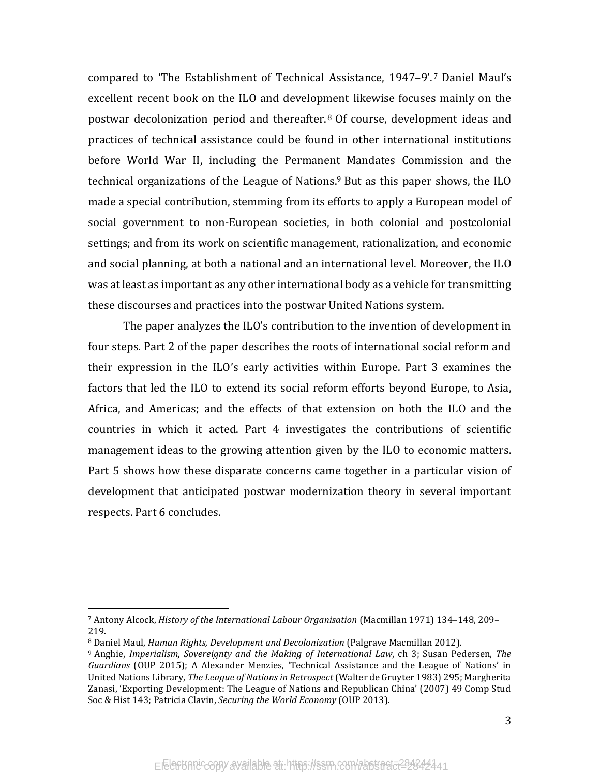compared to 'The Establishment of Technical Assistance, 1947–9'. <sup>7</sup> Daniel Maul's excellent recent book on the ILO and development likewise focuses mainly on the postwar decolonization period and thereafter. <sup>8</sup> Of course, development ideas and practices of technical assistance could be found in other international institutions before World War II, including the Permanent Mandates Commission and the technical organizations of the League of Nations.<sup>9</sup> But as this paper shows, the ILO made a special contribution, stemming from its efforts to apply a European model of social government to non-European societies, in both colonial and postcolonial settings; and from its work on scientific management, rationalization, and economic and social planning, at both a national and an international level. Moreover, the ILO was at least as important as any other international body as a vehicle for transmitting these discourses and practices into the postwar United Nations system.

The paper analyzes the ILO's contribution to the invention of development in four steps. Part 2 of the paper describes the roots of international social reform and their expression in the ILO's early activities within Europe. Part 3 examines the factors that led the ILO to extend its social reform efforts beyond Europe, to Asia, Africa, and Americas; and the effects of that extension on both the ILO and the countries in which it acted. Part 4 investigates the contributions of scientific management ideas to the growing attention given by the ILO to economic matters. Part 5 shows how these disparate concerns came together in a particular vision of development that anticipated postwar modernization theory in several important respects. Part 6 concludes.

<sup>7</sup> Antony Alcock, *History of the International Labour Organisation* (Macmillan 1971) 134–148, 209– 219.

<sup>8</sup> Daniel Maul, *Human Rights, Development and Decolonization* (Palgrave Macmillan 2012).

<sup>9</sup> Anghie, *Imperialism, Sovereignty and the Making of International Law*, ch 3; Susan Pedersen, *The Guardians* (OUP 2015); A Alexander Menzies, 'Technical Assistance and the League of Nations' in United Nations Library, *The League of Nations in Retrospect* (Walter de Gruyter 1983) 295; Margherita Zanasi, 'Exporting Development: The League of Nations and Republican China' (2007) 49 Comp Stud Soc & Hist 143; Patricia Clavin, *Securing the World Economy* (OUP 2013).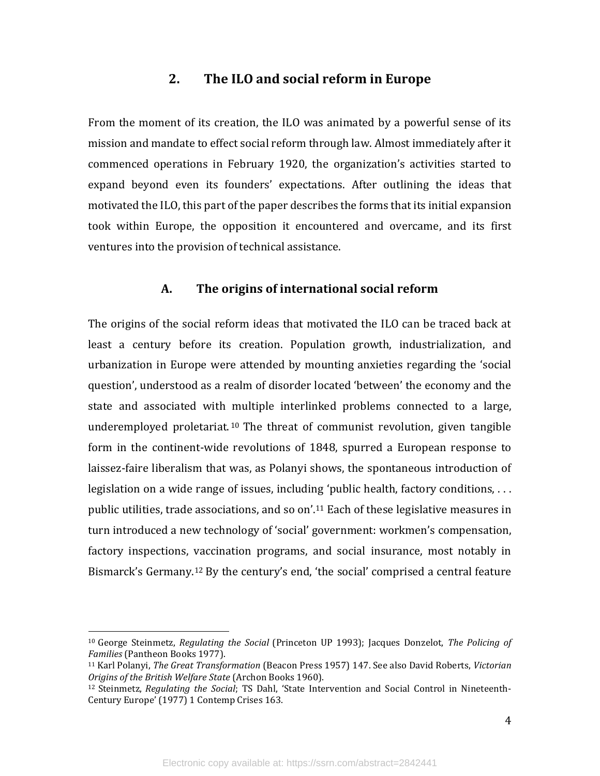## **2. The ILO and social reform in Europe**

From the moment of its creation, the ILO was animated by a powerful sense of its mission and mandate to effect social reform through law. Almost immediately after it commenced operations in February 1920, the organization's activities started to expand beyond even its founders' expectations. After outlining the ideas that motivated the ILO, this part of the paper describes the forms that its initial expansion took within Europe, the opposition it encountered and overcame, and its first ventures into the provision of technical assistance.

## **A. The origins of international social reform**

The origins of the social reform ideas that motivated the ILO can be traced back at least a century before its creation. Population growth, industrialization, and urbanization in Europe were attended by mounting anxieties regarding the 'social question', understood as a realm of disorder located 'between' the economy and the state and associated with multiple interlinked problems connected to a large, underemployed proletariat. <sup>10</sup> The threat of communist revolution, given tangible form in the continent-wide revolutions of 1848, spurred a European response to laissez-faire liberalism that was, as Polanyi shows, the spontaneous introduction of legislation on a wide range of issues, including 'public health, factory conditions, . . . public utilities, trade associations, and so on'. <sup>11</sup> Each of these legislative measures in turn introduced a new technology of 'social' government: workmen's compensation, factory inspections, vaccination programs, and social insurance, most notably in Bismarck's Germany.<sup>12</sup> By the century's end, 'the social' comprised a central feature

<sup>10</sup> George Steinmetz, *Regulating the Social* (Princeton UP 1993); Jacques Donzelot, *The Policing of Families* (Pantheon Books 1977).

<sup>11</sup> Karl Polanyi, *The Great Transformation* (Beacon Press 1957) 147. See also David Roberts, *Victorian Origins of the British Welfare State* (Archon Books 1960).

<sup>12</sup> Steinmetz, *Regulating the Social*; TS Dahl, 'State Intervention and Social Control in Nineteenth-Century Europe' (1977) 1 Contemp Crises 163.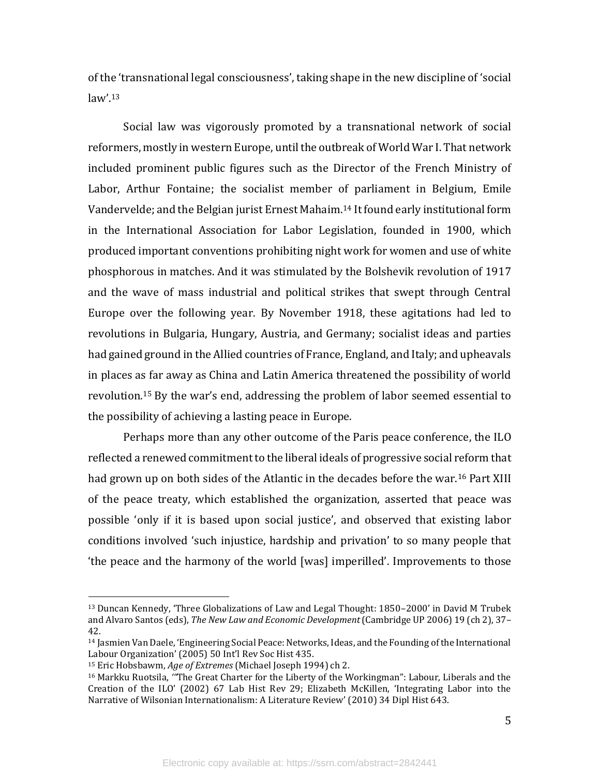of the 'transnational legal consciousness', taking shape in the new discipline of 'social law'. 13

Social law was vigorously promoted by a transnational network of social reformers, mostly in western Europe, until the outbreak of World War I. That network included prominent public figures such as the Director of the French Ministry of Labor, Arthur Fontaine; the socialist member of parliament in Belgium, Emile Vandervelde; and the Belgian jurist Ernest Mahaim. <sup>14</sup> It found early institutional form in the International Association for Labor Legislation, founded in 1900, which produced important conventions prohibiting night work for women and use of white phosphorous in matches. And it was stimulated by the Bolshevik revolution of 1917 and the wave of mass industrial and political strikes that swept through Central Europe over the following year. By November 1918, these agitations had led to revolutions in Bulgaria, Hungary, Austria, and Germany; socialist ideas and parties had gained ground in the Allied countries of France, England, and Italy; and upheavals in places as far away as China and Latin America threatened the possibility of world revolution.<sup>15</sup> By the war's end, addressing the problem of labor seemed essential to the possibility of achieving a lasting peace in Europe.

Perhaps more than any other outcome of the Paris peace conference, the ILO reflected a renewed commitment to the liberal ideals of progressive social reform that had grown up on both sides of the Atlantic in the decades before the war.<sup>16</sup> Part XIII of the peace treaty, which established the organization, asserted that peace was possible 'only if it is based upon social justice', and observed that existing labor conditions involved 'such injustice, hardship and privation' to so many people that 'the peace and the harmony of the world [was] imperilled'. Improvements to those

<sup>13</sup> Duncan Kennedy, 'Three Globalizations of Law and Legal Thought: 1850–2000' in David M Trubek and Alvaro Santos (eds), *The New Law and Economic Development*(Cambridge UP 2006) 19 (ch 2), 37– 42.

<sup>14</sup> Jasmien Van Daele, 'Engineering Social Peace: Networks, Ideas, and the Founding of the International Labour Organization' (2005) 50 Int'l Rev Soc Hist 435.

<sup>15</sup> Eric Hobsbawm, *Age of Extremes*(Michael Joseph 1994) ch 2.

<sup>16</sup> Markku Ruotsila, *'"*The Great Charter for the Liberty of the Workingman": Labour, Liberals and the Creation of the ILO' (2002) 67 Lab Hist Rev 29; Elizabeth McKillen, 'Integrating Labor into the Narrative of Wilsonian Internationalism: A Literature Review' (2010) 34 Dipl Hist 643.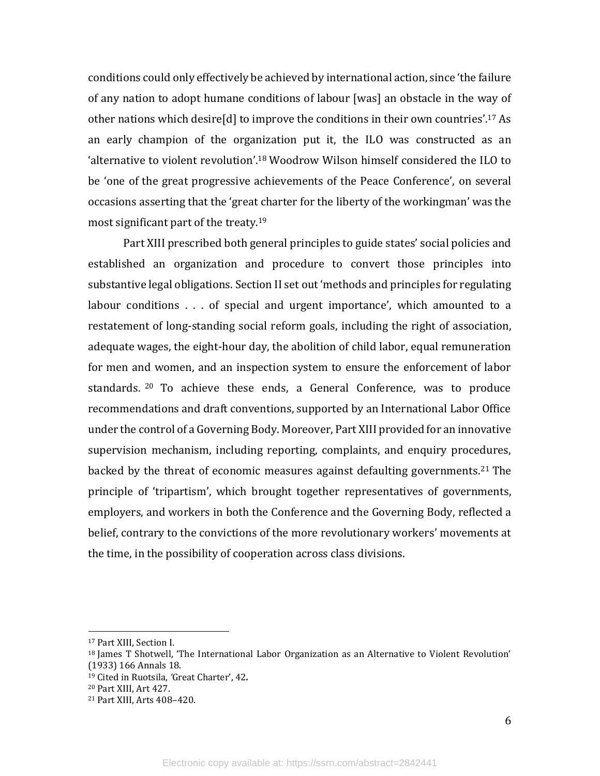conditions could only effectively be achieved by international action, since 'the failure of any nation to adopt humane conditions of labour [was] an obstacle in the way of other nations which desire[d] to improve the conditions in their own countries'.<sup>17</sup> As an early champion of the organization put it, the ILO was constructed as an 'alternative to violent revolution'.<sup>18</sup> Woodrow Wilson himself considered the ILO to be 'one of the great progressive achievements of the Peace Conference', on several occasions asserting that the 'great charter for the liberty of the workingman' was the most significant part of the treaty.<sup>19</sup>

Part XIII prescribed both general principles to guide states' social policies and established an organization and procedure to convert those principles into substantive legal obligations. Section II set out 'methods and principles for regulating labour conditions . . . of special and urgent importance', which amounted to a restatement of long-standing social reform goals, including the right of association, adequate wages, the eight-hour day, the abolition of child labor, equal remuneration for men and women, and an inspection system to ensure the enforcement of labor standards. <sup>20</sup> To achieve these ends, a General Conference, was to produce recommendations and draft conventions, supported by an International Labor Office under the control of a Governing Body. Moreover, Part XIII provided for an innovative supervision mechanism, including reporting, complaints, and enquiry procedures, backed by the threat of economic measures against defaulting governments.<sup>21</sup> The principle of 'tripartism', which brought together representatives of governments, employers, and workers in both the Conference and the Governing Body, reflected a belief, contrary to the convictions of the more revolutionary workers' movements at the time, in the possibility of cooperation across class divisions.

l

<sup>18</sup> James T Shotwell, 'The International Labor Organization as an Alternative to Violent Revolution' (1933) 166 Annals 18.

<sup>17</sup> Part XIII, Section I.

<sup>19</sup> Cited in Ruotsila, *'*Great Charter', 42*.*

<sup>20</sup> Part XIII, Art 427.

<sup>21</sup> Part XIII, Arts 408–420.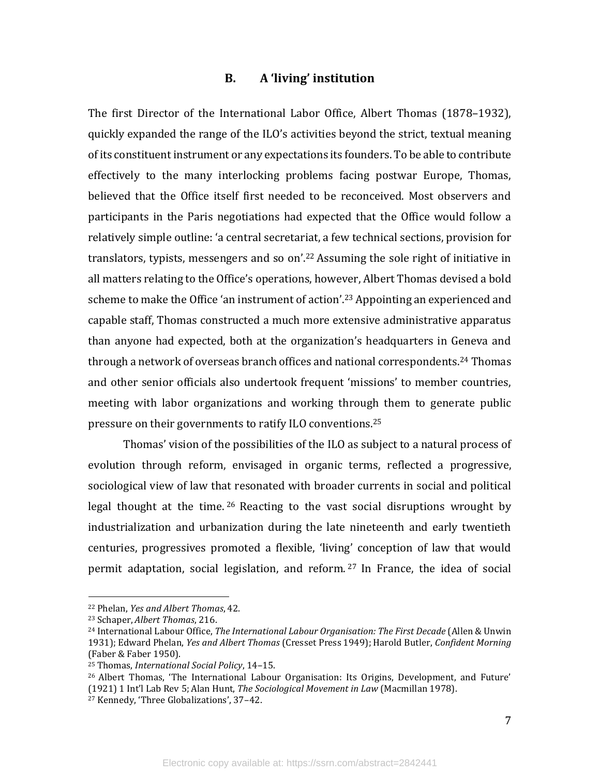#### **B. A 'living' institution**

The first Director of the International Labor Office, Albert Thomas (1878–1932), quickly expanded the range of the ILO's activities beyond the strict, textual meaning of its constituentinstrument or any expectations its founders. To be able to contribute effectively to the many interlocking problems facing postwar Europe, Thomas, believed that the Office itself first needed to be reconceived. Most observers and participants in the Paris negotiations had expected that the Office would follow a relatively simple outline: 'a central secretariat, a few technical sections, provision for translators, typists, messengers and so on'.<sup>22</sup> Assuming the sole right of initiative in all matters relating to the Office's operations, however, Albert Thomas devised a bold scheme to make the Office 'an instrument of action'.<sup>23</sup> Appointing an experienced and capable staff, Thomas constructed a much more extensive administrative apparatus than anyone had expected, both at the organization's headquarters in Geneva and through a network of overseas branch offices and national correspondents. <sup>24</sup> Thomas and other senior officials also undertook frequent 'missions' to member countries, meeting with labor organizations and working through them to generate public pressure on their governments to ratify ILO conventions.<sup>25</sup>

Thomas' vision of the possibilities of the ILO as subject to a natural process of evolution through reform, envisaged in organic terms, reflected a progressive, sociological view of law that resonated with broader currents in social and political legal thought at the time. <sup>26</sup> Reacting to the vast social disruptions wrought by industrialization and urbanization during the late nineteenth and early twentieth centuries, progressives promoted a flexible, 'living' conception of law that would permit adaptation, social legislation, and reform. <sup>27</sup> In France, the idea of social

<sup>22</sup> Phelan, *Yes and Albert Thomas*, 42.

<sup>23</sup> Schaper, *Albert Thomas*, 216.

<sup>24</sup> International Labour Office, *The International Labour Organisation: The First Decade* (Allen & Unwin 1931); Edward Phelan, *Yes and Albert Thomas* (Cresset Press 1949); Harold Butler, *Confident Morning* (Faber & Faber 1950).

<sup>25</sup> Thomas, *International Social Policy*, 14–15.

<sup>&</sup>lt;sup>26</sup> Albert Thomas, 'The International Labour Organisation: Its Origins, Development, and Future' (1921) 1 Int'l Lab Rev 5; Alan Hunt, *The Sociological Movement in Law* (Macmillan 1978).

<sup>27</sup> Kennedy, 'Three Globalizations', 37–42.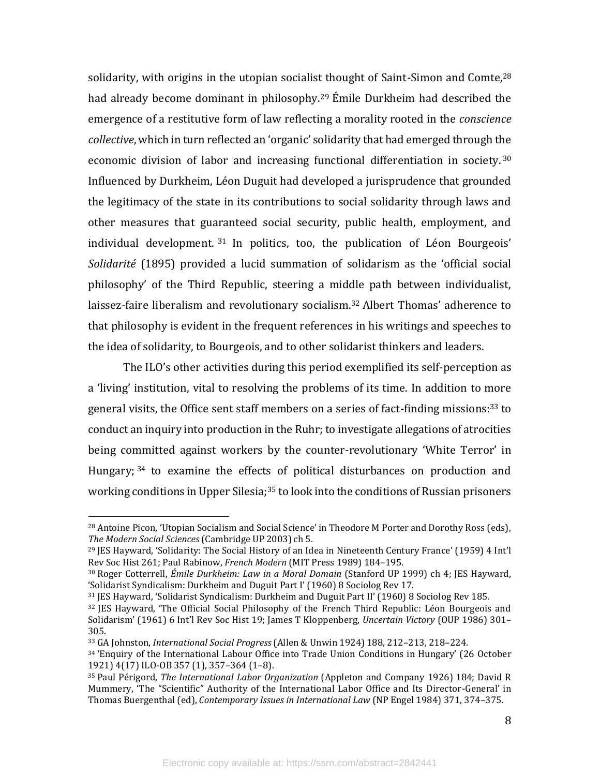solidarity, with origins in the utopian socialist thought of Saint-Simon and Comte,  $28$ had already become dominant in philosophy.<sup>29</sup> Émile Durkheim had described the emergence of a restitutive form of law reflecting a morality rooted in the *conscience collective*, which in turn reflected an 'organic' solidarity that had emerged through the economic division of labor and increasing functional differentiation in society. <sup>30</sup> Influenced by Durkheim, Léon Duguit had developed a jurisprudence that grounded the legitimacy of the state in its contributions to social solidarity through laws and other measures that guaranteed social security, public health, employment, and individual development. <sup>31</sup> In politics, too, the publication of Léon Bourgeois' *Solidarité* (1895) provided a lucid summation of solidarism as the 'official social philosophy' of the Third Republic, steering a middle path between individualist, laissez-faire liberalism and revolutionary socialism.<sup>32</sup> Albert Thomas' adherence to that philosophy is evident in the frequent references in his writings and speeches to the idea of solidarity, to Bourgeois, and to other solidarist thinkers and leaders.

The ILO's other activities during this period exemplified its self-perception as a 'living' institution, vital to resolving the problems of its time. In addition to more general visits, the Office sent staff members on a series of fact-finding missions:<sup>33</sup> to conduct an inquiry into production in the Ruhr; to investigate allegations of atrocities being committed against workers by the counter-revolutionary 'White Terror' in Hungary; <sup>34</sup> to examine the effects of political disturbances on production and working conditions in Upper Silesia;<sup>35</sup> to look into the conditions of Russian prisoners

<sup>&</sup>lt;sup>28</sup> Antoine Picon, 'Utopian Socialism and Social Science' in Theodore M Porter and Dorothy Ross (eds), *The Modern Social Sciences* (Cambridge UP 2003) ch 5.

<sup>29</sup> JES Hayward, 'Solidarity: The Social History of an Idea in Nineteenth Century France' (1959) 4 Int'l Rev Soc Hist 261; Paul Rabinow, *French Modern* (MIT Press 1989) 184–195.

<sup>30</sup> Roger Cotterrell, *Émile Durkheim: Law in a Moral Domain* (Stanford UP 1999) ch 4; JES Hayward, 'Solidarist Syndicalism: Durkheim and Duguit Part I' (1960) 8 Sociolog Rev 17.

<sup>31</sup> JES Hayward, 'Solidarist Syndicalism: Durkheim and Duguit Part II' (1960) 8 Sociolog Rev 185.

<sup>32</sup> JES Hayward, 'The Official Social Philosophy of the French Third Republic: Léon Bourgeois and Solidarism' (1961) 6 Int'l Rev Soc Hist 19; James T Kloppenberg, *Uncertain Victory* (OUP 1986) 301– 305.

<sup>33</sup> GA Johnston, *International Social Progress* (Allen & Unwin 1924) 188, 212–213, 218–224.

<sup>34</sup> 'Enquiry of the International Labour Office into Trade Union Conditions in Hungary' (26 October 1921) 4(17) ILO-OB 357 (1), 357–364 (1–8).

<sup>35</sup> Paul Périgord, *The International Labor Organization* (Appleton and Company 1926) 184; David R Mummery, 'The "Scientific" Authority of the International Labor Office and Its Director-General' in Thomas Buergenthal (ed), *Contemporary Issues in International Law* (NP Engel 1984) 371, 374–375.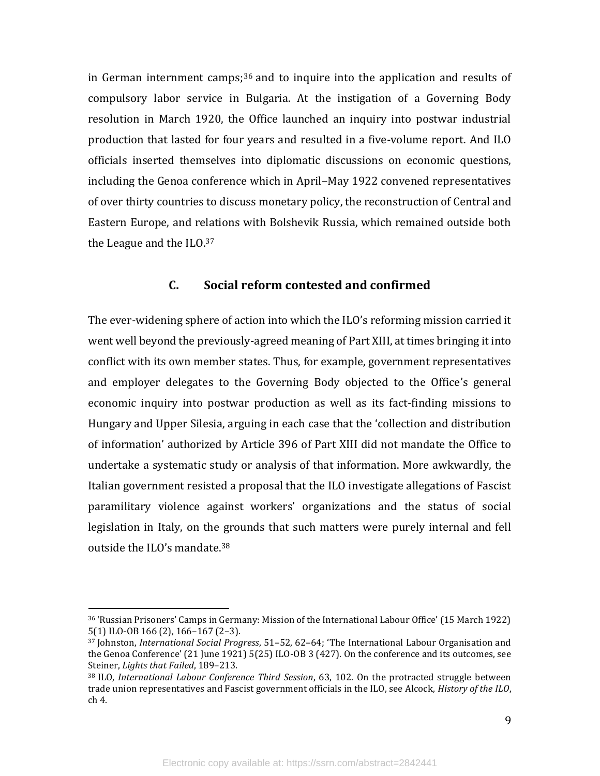in German internment camps;  $36$  and to inquire into the application and results of compulsory labor service in Bulgaria. At the instigation of a Governing Body resolution in March 1920, the Office launched an inquiry into postwar industrial production that lasted for four years and resulted in a five-volume report. And ILO officials inserted themselves into diplomatic discussions on economic questions, including the Genoa conference which in April–May 1922 convened representatives of over thirty countries to discuss monetary policy, the reconstruction of Central and Eastern Europe, and relations with Bolshevik Russia, which remained outside both the League and the ILO.<sup>37</sup>

#### **C. Social reform contested and confirmed**

The ever-widening sphere of action into which the ILO's reforming mission carried it went well beyond the previously-agreed meaning of Part XIII, at times bringing it into conflict with its own member states. Thus, for example, government representatives and employer delegates to the Governing Body objected to the Office's general economic inquiry into postwar production as well as its fact-finding missions to Hungary and Upper Silesia, arguing in each case that the 'collection and distribution of information' authorized by Article 396 of Part XIII did not mandate the Office to undertake a systematic study or analysis of that information. More awkwardly, the Italian government resisted a proposal that the ILO investigate allegations of Fascist paramilitary violence against workers' organizations and the status of social legislation in Italy, on the grounds that such matters were purely internal and fell outside the ILO's mandate.<sup>38</sup>

<sup>36</sup> 'Russian Prisoners' Camps in Germany: Mission of the International Labour Office' (15 March 1922) 5(1) ILO-OB 166 (2), 166–167 (2–3).

<sup>37</sup> Johnston, *International Social Progress*, 51–52, 62–64; 'The International Labour Organisation and the Genoa Conference' (21 June 1921) 5(25) ILO-OB 3 (427). On the conference and its outcomes, see Steiner, *Lights that Failed*, 189–213.

<sup>38</sup> ILO, *International Labour Conference Third Session*, 63, 102. On the protracted struggle between trade union representatives and Fascist government officials in the ILO, see Alcock, *History of the ILO*, ch 4.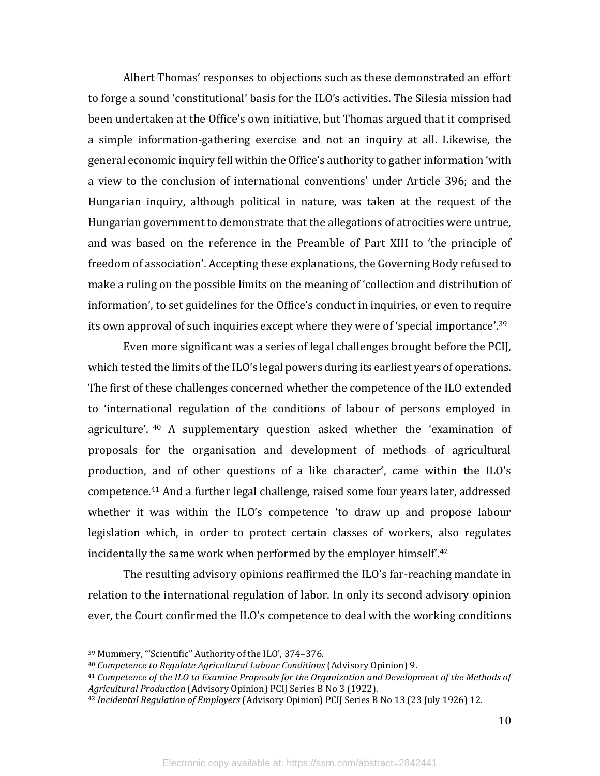Albert Thomas' responses to objections such as these demonstrated an effort to forge a sound 'constitutional' basis for the ILO's activities. The Silesia mission had been undertaken at the Office's own initiative, but Thomas argued that it comprised a simple information-gathering exercise and not an inquiry at all. Likewise, the general economic inquiry fell within the Office's authority to gather information 'with a view to the conclusion of international conventions' under Article 396; and the Hungarian inquiry, although political in nature, was taken at the request of the Hungarian government to demonstrate that the allegations of atrocities were untrue, and was based on the reference in the Preamble of Part XIII to 'the principle of freedom of association'. Accepting these explanations, the Governing Body refused to make a ruling on the possible limits on the meaning of 'collection and distribution of information', to set guidelines for the Office's conduct in inquiries, or even to require its own approval of such inquiries except where they were of 'special importance'.<sup>39</sup>

Even more significant was a series of legal challenges brought before the PCIJ, which tested the limits of the ILO's legal powers during its earliest years of operations. The first of these challenges concerned whether the competence of the ILO extended to 'international regulation of the conditions of labour of persons employed in agriculture'. <sup>40</sup> A supplementary question asked whether the 'examination of proposals for the organisation and development of methods of agricultural production, and of other questions of a like character', came within the ILO's competence.<sup>41</sup> And a further legal challenge, raised some four years later, addressed whether it was within the ILO's competence 'to draw up and propose labour legislation which, in order to protect certain classes of workers, also regulates incidentally the same work when performed by the employer himself'.<sup>42</sup>

The resulting advisory opinions reaffirmed the ILO's far-reaching mandate in relation to the international regulation of labor. In only its second advisory opinion ever, the Court confirmed the ILO's competence to deal with the working conditions

<sup>39</sup> Mummery, '"Scientific" Authority of the ILO', 374–376.

<sup>40</sup> *Competence to Regulate Agricultural Labour Conditions* (Advisory Opinion) 9.

<sup>41</sup> *Competence of the ILO to Examine Proposals for the Organization and Development of the Methods of Agricultural Production* (Advisory Opinion) PCIJ Series B No 3 (1922).

<sup>42</sup> *Incidental Regulation of Employers* (Advisory Opinion) PCIJ Series B No 13 (23 July 1926) 12.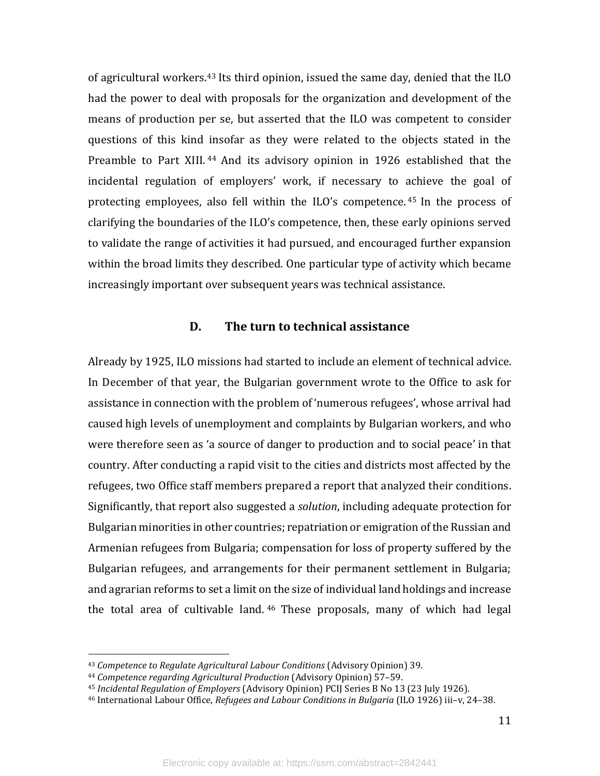of agricultural workers.<sup>43</sup> Its third opinion, issued the same day, denied that the ILO had the power to deal with proposals for the organization and development of the means of production per se, but asserted that the ILO was competent to consider questions of this kind insofar as they were related to the objects stated in the Preamble to Part XIII. <sup>44</sup> And its advisory opinion in 1926 established that the incidental regulation of employers' work, if necessary to achieve the goal of protecting employees, also fell within the ILO's competence. <sup>45</sup> In the process of clarifying the boundaries of the ILO's competence, then, these early opinions served to validate the range of activities it had pursued, and encouraged further expansion within the broad limits they described. One particular type of activity which became increasingly important over subsequent years was technical assistance.

#### **D. The turn to technical assistance**

Already by 1925, ILO missions had started to include an element of technical advice. In December of that year, the Bulgarian government wrote to the Office to ask for assistance in connection with the problem of 'numerous refugees', whose arrival had caused high levels of unemployment and complaints by Bulgarian workers, and who were therefore seen as 'a source of danger to production and to social peace' in that country. After conducting a rapid visit to the cities and districts most affected by the refugees, two Office staff members prepared a report that analyzed their conditions. Significantly, that report also suggested a *solution*, including adequate protection for Bulgarian minorities in other countries; repatriation or emigration of the Russian and Armenian refugees from Bulgaria; compensation for loss of property suffered by the Bulgarian refugees, and arrangements for their permanent settlement in Bulgaria; and agrarian reforms to set a limit on the size of individual land holdings and increase the total area of cultivable land. <sup>46</sup> These proposals, many of which had legal

<sup>43</sup> *Competence to Regulate Agricultural Labour Conditions* (Advisory Opinion) 39.

<sup>44</sup> *Competence regarding Agricultural Production* (Advisory Opinion) 57–59.

<sup>45</sup> *Incidental Regulation of Employers* (Advisory Opinion) PCIJ Series B No 13 (23 July 1926).

<sup>46</sup> International Labour Office, *Refugees and Labour Conditions in Bulgaria* (ILO 1926) iii–v, 24–38.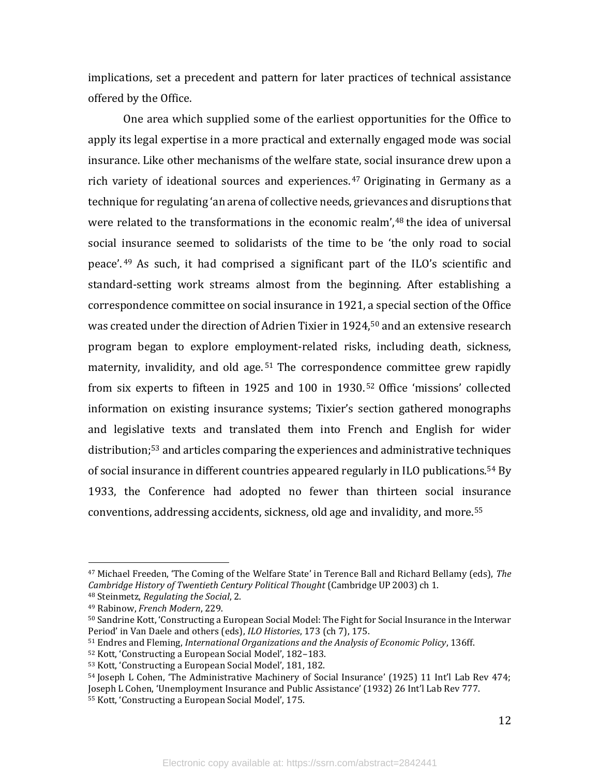implications, set a precedent and pattern for later practices of technical assistance offered by the Office.

One area which supplied some of the earliest opportunities for the Office to apply its legal expertise in a more practical and externally engaged mode was social insurance. Like other mechanisms of the welfare state, social insurance drew upon a rich variety of ideational sources and experiences. <sup>47</sup> Originating in Germany as a technique for regulating 'an arena of collective needs, grievances and disruptions that were related to the transformations in the economic realm',<sup>48</sup> the idea of universal social insurance seemed to solidarists of the time to be 'the only road to social peace'. <sup>49</sup> As such, it had comprised a significant part of the ILO's scientific and standard-setting work streams almost from the beginning. After establishing a correspondence committee on social insurance in 1921, a special section of the Office was created under the direction of Adrien Tixier in 1924,<sup>50</sup> and an extensive research program began to explore employment-related risks, including death, sickness, maternity, invalidity, and old age.<sup>51</sup> The correspondence committee grew rapidly from six experts to fifteen in 1925 and 100 in 1930. <sup>52</sup> Office 'missions' collected information on existing insurance systems; Tixier's section gathered monographs and legislative texts and translated them into French and English for wider distribution;<sup>53</sup> and articles comparing the experiences and administrative techniques of social insurance in different countries appeared regularly in ILO publications.<sup>54</sup> By 1933, the Conference had adopted no fewer than thirteen social insurance conventions, addressing accidents, sickness, old age and invalidity, and more.<sup>55</sup>

<sup>47</sup> Michael Freeden, 'The Coming of the Welfare State' in Terence Ball and Richard Bellamy (eds), *The Cambridge History of Twentieth Century Political Thought* (Cambridge UP 2003) ch 1. <sup>48</sup> Steinmetz, *Regulating the Social*, 2.

<sup>49</sup> Rabinow, *French Modern*, 229.

<sup>50</sup> Sandrine Kott, 'Constructing a European Social Model: The Fight for Social Insurance in the Interwar Period' in Van Daele and others (eds), *ILO Histories*, 173 (ch 7), 175.

<sup>51</sup> Endres and Fleming, *International Organizations and the Analysis of Economic Policy*, 136ff.

<sup>52</sup> Kott, 'Constructing a European Social Model', 182–183.

<sup>53</sup> Kott, 'Constructing a European Social Model', 181, 182.

<sup>54</sup> Joseph L Cohen, 'The Administrative Machinery of Social Insurance' (1925) 11 Int'l Lab Rev 474; Joseph L Cohen, 'Unemployment Insurance and Public Assistance' (1932) 26 Int'l Lab Rev 777. <sup>55</sup> Kott, 'Constructing a European Social Model', 175.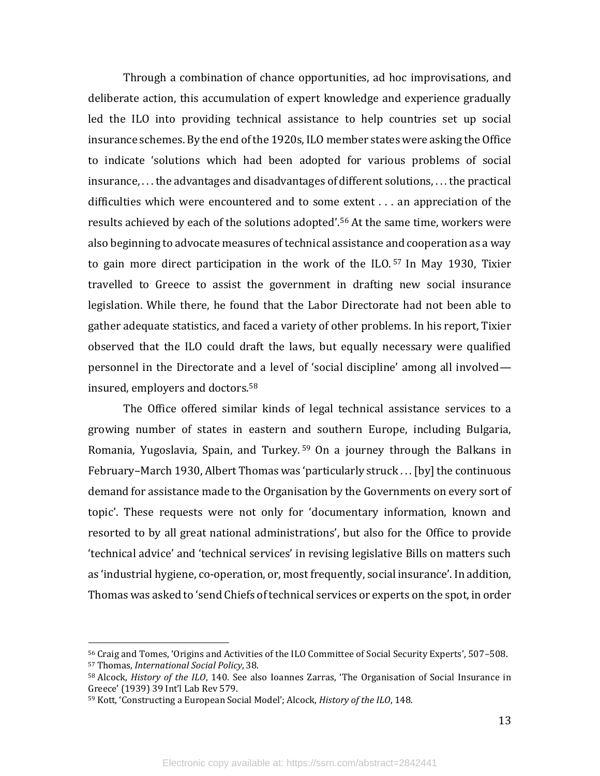Through a combination of chance opportunities, ad hoc improvisations, and deliberate action, this accumulation of expert knowledge and experience gradually led the ILO into providing technical assistance to help countries set up social insurance schemes. By the end of the 1920s, ILO member states were asking the Office to indicate 'solutions which had been adopted for various problems of social insurance, . . . the advantages and disadvantages of different solutions, . . . the practical difficulties which were encountered and to some extent . . . an appreciation of the results achieved by each of the solutions adopted'.<sup>56</sup> At the same time, workers were also beginning to advocate measures of technical assistance and cooperation as a way to gain more direct participation in the work of the ILO. <sup>57</sup> In May 1930, Tixier travelled to Greece to assist the government in drafting new social insurance legislation. While there, he found that the Labor Directorate had not been able to gather adequate statistics, and faced a variety of other problems. In his report, Tixier observed that the ILO could draft the laws, but equally necessary were qualified personnel in the Directorate and a level of 'social discipline' among all involved insured, employers and doctors.<sup>58</sup>

The Office offered similar kinds of legal technical assistance services to a growing number of states in eastern and southern Europe, including Bulgaria, Romania, Yugoslavia, Spain, and Turkey. <sup>59</sup> On a journey through the Balkans in February–March 1930, Albert Thomas was 'particularly struck . . . [by] the continuous demand for assistance made to the Organisation by the Governments on every sort of topic'. These requests were not only for 'documentary information, known and resorted to by all great national administrations', but also for the Office to provide 'technical advice' and 'technical services' in revising legislative Bills on matters such as 'industrial hygiene, co-operation, or, most frequently, social insurance'. In addition, Thomas was asked to 'send Chiefs of technical services or experts on the spot, in order

<sup>56</sup> Craig and Tomes, 'Origins and Activities of the ILO Committee of Social Security Experts', 507–508. <sup>57</sup> Thomas, *International Social Policy*, 38.

<sup>58</sup> Alcock, *History of the ILO*, 140. See also Ioannes Zarras, 'The Organisation of Social Insurance in Greece' (1939) 39 Int'l Lab Rev 579.

<sup>59</sup> Kott, 'Constructing a European Social Model'; Alcock, *History of the ILO*, 148.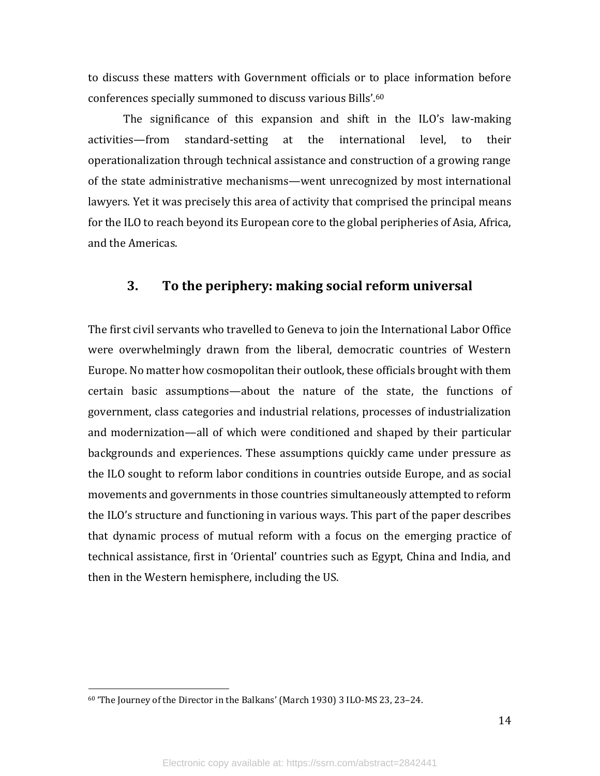to discuss these matters with Government officials or to place information before conferences specially summoned to discuss various Bills'.<sup>60</sup>

The significance of this expansion and shift in the ILO's law-making activities—from standard-setting at the international level, to their operationalization through technical assistance and construction of a growing range of the state administrative mechanisms—went unrecognized by most international lawyers. Yet it was precisely this area of activity that comprised the principal means for the ILO to reach beyond its European core to the global peripheries of Asia, Africa, and the Americas.

## **3. To the periphery: making social reform universal**

The first civil servants who travelled to Geneva to join the International Labor Office were overwhelmingly drawn from the liberal, democratic countries of Western Europe. No matter how cosmopolitan their outlook, these officials brought with them certain basic assumptions—about the nature of the state, the functions of government, class categories and industrial relations, processes of industrialization and modernization—all of which were conditioned and shaped by their particular backgrounds and experiences. These assumptions quickly came under pressure as the ILO sought to reform labor conditions in countries outside Europe, and as social movements and governments in those countries simultaneously attempted to reform the ILO's structure and functioning in various ways. This part of the paper describes that dynamic process of mutual reform with a focus on the emerging practice of technical assistance, first in 'Oriental' countries such as Egypt, China and India, and then in the Western hemisphere, including the US.

<sup>60</sup> 'The Journey of the Director in the Balkans' (March 1930) 3 ILO-MS 23, 23–24.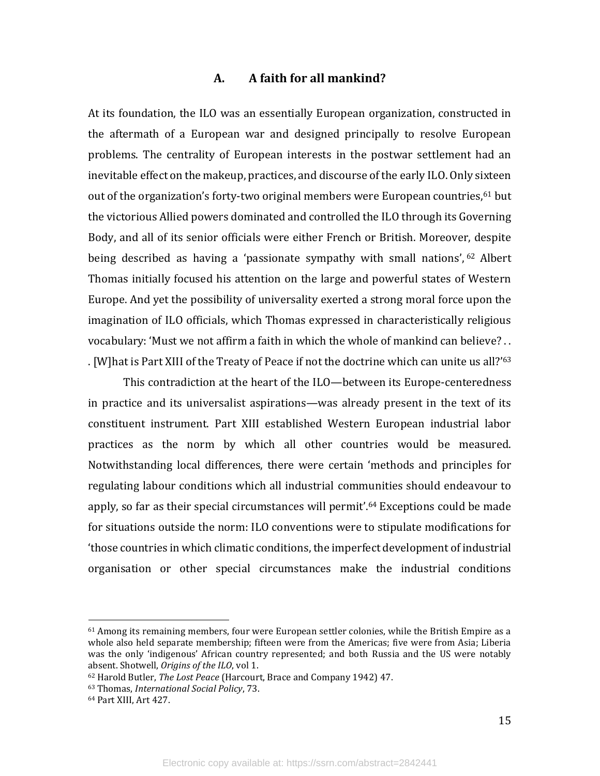#### **A. A faith for all mankind?**

At its foundation, the ILO was an essentially European organization, constructed in the aftermath of a European war and designed principally to resolve European problems. The centrality of European interests in the postwar settlement had an inevitable effect on the makeup, practices, and discourse of the early ILO. Only sixteen out of the organization's forty-two original members were European countries, <sup>61</sup> but the victorious Allied powers dominated and controlled the ILO through its Governing Body, and all of its senior officials were either French or British. Moreover, despite being described as having a 'passionate sympathy with small nations', <sup>62</sup> Albert Thomas initially focused his attention on the large and powerful states of Western Europe. And yet the possibility of universality exerted a strong moral force upon the imagination of ILO officials, which Thomas expressed in characteristically religious vocabulary: 'Must we not affirm a faith in which the whole of mankind can believe? . . . [W]hat is Part XIII of the Treaty of Peace if not the doctrine which can unite us all?'<sup>63</sup>

This contradiction at the heart of the ILO—between its Europe-centeredness in practice and its universalist aspirations—was already present in the text of its constituent instrument. Part XIII established Western European industrial labor practices as the norm by which all other countries would be measured. Notwithstanding local differences, there were certain 'methods and principles for regulating labour conditions which all industrial communities should endeavour to apply, so far as their special circumstances will permit'.<sup>64</sup> Exceptions could be made for situations outside the norm: ILO conventions were to stipulate modifications for 'those countries in which climatic conditions, the imperfect development of industrial organisation or other special circumstances make the industrial conditions

 $61$  Among its remaining members, four were European settler colonies, while the British Empire as a whole also held separate membership; fifteen were from the Americas; five were from Asia; Liberia was the only 'indigenous' African country represented; and both Russia and the US were notably absent. Shotwell, *Origins of the ILO*, vol 1.

<sup>62</sup> Harold Butler, *The Lost Peace* (Harcourt, Brace and Company 1942) 47.

<sup>63</sup> Thomas, *International Social Policy*, 73.

<sup>64</sup> Part XIII, Art 427.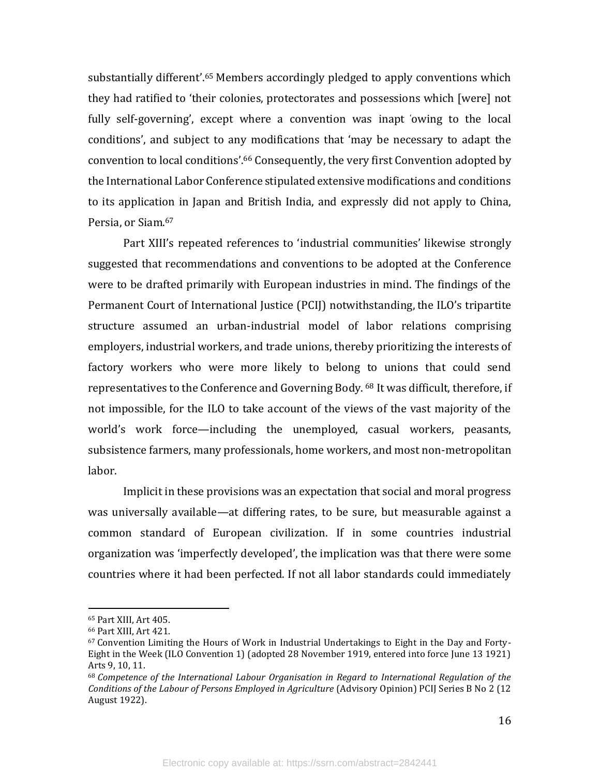substantially different'.<sup>65</sup> Members accordingly pledged to apply conventions which they had ratified to 'their colonies, protectorates and possessions which [were] not fully self-governing', except where a convention was inapt 'owing to the local conditions', and subject to any modifications that 'may be necessary to adapt the convention to local conditions'.<sup>66</sup> Consequently, the very first Convention adopted by the International Labor Conference stipulated extensive modifications and conditions to its application in Japan and British India, and expressly did not apply to China, Persia, or Siam.<sup>67</sup>

Part XIII's repeated references to 'industrial communities' likewise strongly suggested that recommendations and conventions to be adopted at the Conference were to be drafted primarily with European industries in mind. The findings of the Permanent Court of International Justice (PCIJ) notwithstanding, the ILO's tripartite structure assumed an urban-industrial model of labor relations comprising employers, industrial workers, and trade unions, thereby prioritizing the interests of factory workers who were more likely to belong to unions that could send representatives to the Conference and Governing Body. <sup>68</sup> It was difficult, therefore, if not impossible, for the ILO to take account of the views of the vast majority of the world's work force—including the unemployed, casual workers, peasants, subsistence farmers, many professionals, home workers, and most non-metropolitan labor.

Implicit in these provisions was an expectation that social and moral progress was universally available—at differing rates, to be sure, but measurable against a common standard of European civilization. If in some countries industrial organization was 'imperfectly developed', the implication was that there were some countries where it had been perfected. If not all labor standards could immediately

<sup>65</sup> Part XIII, Art 405.

<sup>66</sup> Part XIII, Art 421.

<sup>67</sup> Convention Limiting the Hours of Work in Industrial Undertakings to Eight in the Day and Forty-Eight in the Week (ILO Convention 1) (adopted 28 November 1919, entered into force June 13 1921) Arts 9, 10, 11.

<sup>68</sup> *Competence of the International Labour Organisation in Regard to International Regulation of the Conditions of the Labour of Persons Employed in Agriculture* (Advisory Opinion) PCIJ Series B No 2 (12 August 1922).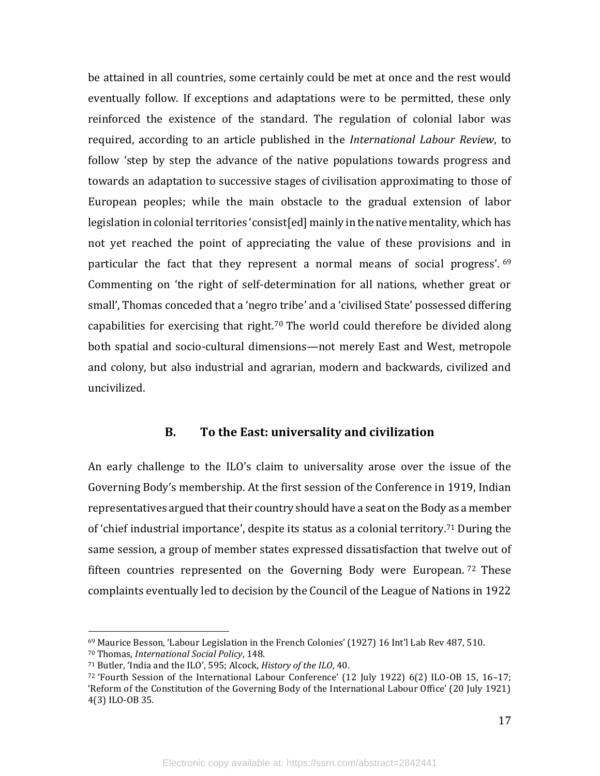be attained in all countries, some certainly could be met at once and the rest would eventually follow. If exceptions and adaptations were to be permitted, these only reinforced the existence of the standard. The regulation of colonial labor was required, according to an article published in the *International Labour Review*, to follow 'step by step the advance of the native populations towards progress and towards an adaptation to successive stages of civilisation approximating to those of European peoples; while the main obstacle to the gradual extension of labor legislation in colonial territories 'consist[ed] mainly in the native mentality, which has not yet reached the point of appreciating the value of these provisions and in particular the fact that they represent a normal means of social progress'. <sup>69</sup> Commenting on 'the right of self-determination for all nations, whether great or small', Thomas conceded that a 'negro tribe' and a 'civilised State' possessed differing capabilities for exercising that right.<sup>70</sup> The world could therefore be divided along both spatial and socio-cultural dimensions—not merely East and West, metropole and colony, but also industrial and agrarian, modern and backwards, civilized and uncivilized.

## **B. To the East: universality and civilization**

An early challenge to the ILO's claim to universality arose over the issue of the Governing Body's membership. At the first session of the Conference in 1919, Indian representatives argued that their country should have a seat on the Body as a member of 'chief industrial importance', despite its status as a colonial territory.<sup>71</sup> During the same session, a group of member states expressed dissatisfaction that twelve out of fifteen countries represented on the Governing Body were European.<sup>72</sup> These complaints eventually led to decision by the Council of the League of Nations in 1922

<sup>69</sup> Maurice Besson, 'Labour Legislation in the French Colonies' (1927) 16 Int'l Lab Rev 487, 510.

<sup>70</sup> Thomas, *International Social Policy*, 148.

<sup>71</sup> Butler, 'India and the ILO', 595; Alcock, *History of the ILO*, 40.

<sup>72</sup> 'Fourth Session of the International Labour Conference' (12 July 1922) 6(2) ILO-OB 15, 16–17; 'Reform of the Constitution of the Governing Body of the International Labour Office' (20 July 1921) 4(3) ILO-OB 35.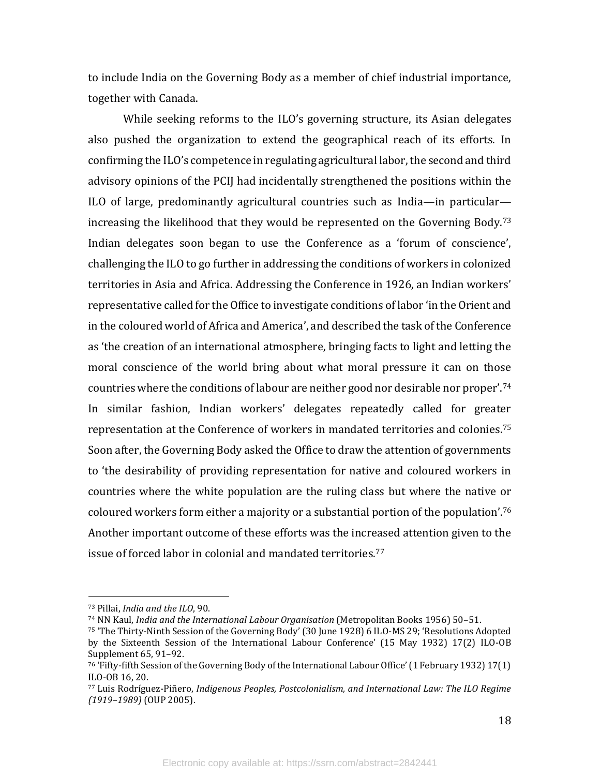to include India on the Governing Body as a member of chief industrial importance, together with Canada.

While seeking reforms to the ILO's governing structure, its Asian delegates also pushed the organization to extend the geographical reach of its efforts. In confirming the ILO's competence in regulating agricultural labor, the second and third advisory opinions of the PCIJ had incidentally strengthened the positions within the ILO of large, predominantly agricultural countries such as India—in particular increasing the likelihood that they would be represented on the Governing Body.<sup>73</sup> Indian delegates soon began to use the Conference as a 'forum of conscience', challenging the ILO to go further in addressing the conditions of workers in colonized territories in Asia and Africa. Addressing the Conference in 1926, an Indian workers' representative called for the Office to investigate conditions of labor 'in the Orient and in the coloured world of Africa and America', and described the task of the Conference as 'the creation of an international atmosphere, bringing facts to light and letting the moral conscience of the world bring about what moral pressure it can on those countries where the conditions of labour are neither good nor desirable nor proper'.<sup>74</sup> In similar fashion, Indian workers' delegates repeatedly called for greater representation at the Conference of workers in mandated territories and colonies.<sup>75</sup> Soon after, the Governing Body asked the Office to draw the attention of governments to 'the desirability of providing representation for native and coloured workers in countries where the white population are the ruling class but where the native or coloured workers form either a majority or a substantial portion of the population'.<sup>76</sup> Another important outcome of these efforts was the increased attention given to the issue of forced labor in colonial and mandated territories.<sup>77</sup>

<sup>73</sup> Pillai, *India and the ILO*, 90.

<sup>74</sup> NN Kaul, *India and the International Labour Organisation* (Metropolitan Books 1956) 50–51.

<sup>75</sup> 'The Thirty-Ninth Session of the Governing Body' (30 June 1928) 6 ILO-MS 29; 'Resolutions Adopted by the Sixteenth Session of the International Labour Conference' (15 May 1932) 17(2) ILO-OB Supplement 65, 91–92.

<sup>76</sup> 'Fifty-fifth Session of the Governing Body of the International Labour Office' (1 February 1932) 17(1) ILO-OB 16, 20.

<sup>77</sup> Luis Rodríguez-Piñero, *Indigenous Peoples, Postcolonialism, and International Law: The ILO Regime (1919–1989)* (OUP 2005).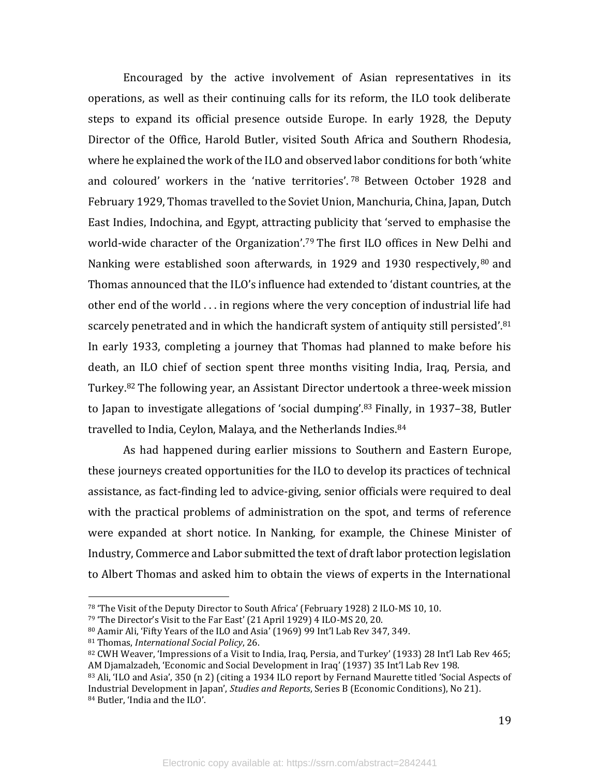Encouraged by the active involvement of Asian representatives in its operations, as well as their continuing calls for its reform, the ILO took deliberate steps to expand its official presence outside Europe. In early 1928, the Deputy Director of the Office, Harold Butler, visited South Africa and Southern Rhodesia, where he explained the work of the ILO and observed labor conditions for both 'white and coloured' workers in the 'native territories'. <sup>78</sup> Between October 1928 and February 1929, Thomas travelled to the Soviet Union, Manchuria, China, Japan, Dutch East Indies, Indochina, and Egypt, attracting publicity that 'served to emphasise the world-wide character of the Organization'.<sup>79</sup> The first ILO offices in New Delhi and Nanking were established soon afterwards, in 1929 and 1930 respectively, 80 and Thomas announced that the ILO's influence had extended to 'distant countries, at the other end of the world . . . in regions where the very conception of industrial life had scarcely penetrated and in which the handicraft system of antiquity still persisted'.<sup>81</sup> In early 1933, completing a journey that Thomas had planned to make before his death, an ILO chief of section spent three months visiting India, Iraq, Persia, and Turkey.<sup>82</sup> The following year, an Assistant Director undertook a three-week mission to Japan to investigate allegations of 'social dumping'.<sup>83</sup> Finally, in 1937–38, Butler travelled to India, Ceylon, Malaya, and the Netherlands Indies.<sup>84</sup>

As had happened during earlier missions to Southern and Eastern Europe, these journeys created opportunities for the ILO to develop its practices of technical assistance, as fact-finding led to advice-giving, senior officials were required to deal with the practical problems of administration on the spot, and terms of reference were expanded at short notice. In Nanking, for example, the Chinese Minister of Industry, Commerce and Labor submitted the text of draft labor protection legislation to Albert Thomas and asked him to obtain the views of experts in the International

<sup>78</sup> 'The Visit of the Deputy Director to South Africa' (February 1928) 2 ILO-MS 10, 10.

<sup>79</sup> 'The Director's Visit to the Far East' (21 April 1929) 4 ILO-MS 20, 20.

<sup>80</sup> Aamir Ali, 'Fifty Years of the ILO and Asia' (1969) 99 Int'l Lab Rev 347, 349.

<sup>81</sup> Thomas, *International Social Policy*, 26.

<sup>82</sup> CWH Weaver, 'Impressions of a Visit to India, Iraq, Persia, and Turkey' (1933) 28 Int'l Lab Rev 465; AM Djamalzadeh, 'Economic and Social Development in Iraq' (1937) 35 Int'l Lab Rev 198.

<sup>83</sup> Ali, 'ILO and Asia', 350 (n 2) (citing a 1934 ILO report by Fernand Maurette titled 'Social Aspects of Industrial Development in Japan', *Studies and Reports*, Series B (Economic Conditions), No 21). <sup>84</sup> Butler, 'India and the ILO'.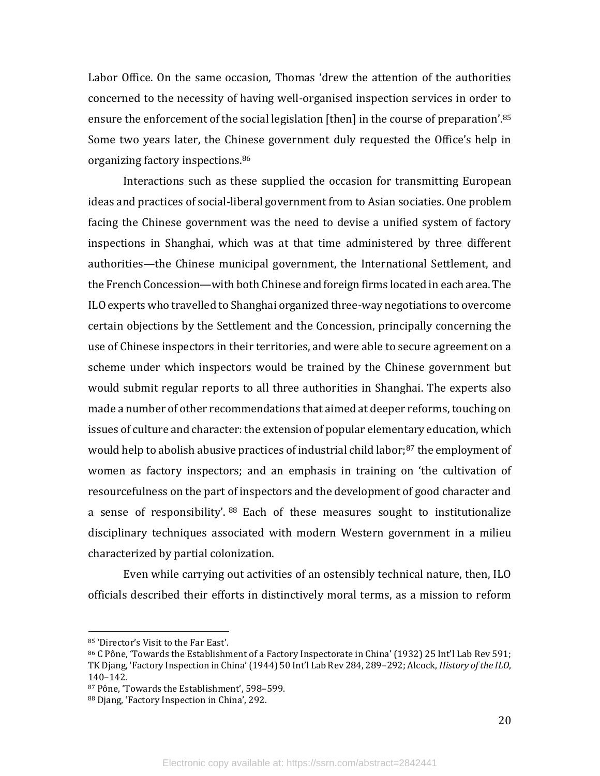Labor Office. On the same occasion, Thomas 'drew the attention of the authorities concerned to the necessity of having well-organised inspection services in order to ensure the enforcement of the social legislation [then] in the course of preparation'.<sup>85</sup> Some two years later, the Chinese government duly requested the Office's help in organizing factory inspections.<sup>86</sup>

Interactions such as these supplied the occasion for transmitting European ideas and practices of social-liberal government from to Asian sociaties. One problem facing the Chinese government was the need to devise a unified system of factory inspections in Shanghai, which was at that time administered by three different authorities—the Chinese municipal government, the International Settlement, and the French Concession—with both Chinese and foreign firms located in each area. The ILO experts who travelled to Shanghai organized three-way negotiations to overcome certain objections by the Settlement and the Concession, principally concerning the use of Chinese inspectors in their territories, and were able to secure agreement on a scheme under which inspectors would be trained by the Chinese government but would submit regular reports to all three authorities in Shanghai. The experts also made a number of other recommendations that aimed at deeper reforms, touching on issues of culture and character: the extension of popular elementary education, which would help to abolish abusive practices of industrial child labor;<sup>87</sup> the employment of women as factory inspectors; and an emphasis in training on 'the cultivation of resourcefulness on the part of inspectors and the development of good character and a sense of responsibility'. 88 Each of these measures sought to institutionalize disciplinary techniques associated with modern Western government in a milieu characterized by partial colonization.

Even while carrying out activities of an ostensibly technical nature, then, ILO officials described their efforts in distinctively moral terms, as a mission to reform

<sup>85 &#</sup>x27;Director's Visit to the Far East'.

<sup>86</sup> C Pône, 'Towards the Establishment of a Factory Inspectorate in China' (1932) 25 Int'l Lab Rev 591; TK Djang, 'Factory Inspection in China' (1944) 50 Int'l Lab Rev 284, 289–292; Alcock, *History of the ILO*, 140–142.

<sup>87</sup> Pône, 'Towards the Establishment', 598–599.

<sup>88</sup> Djang, 'Factory Inspection in China', 292.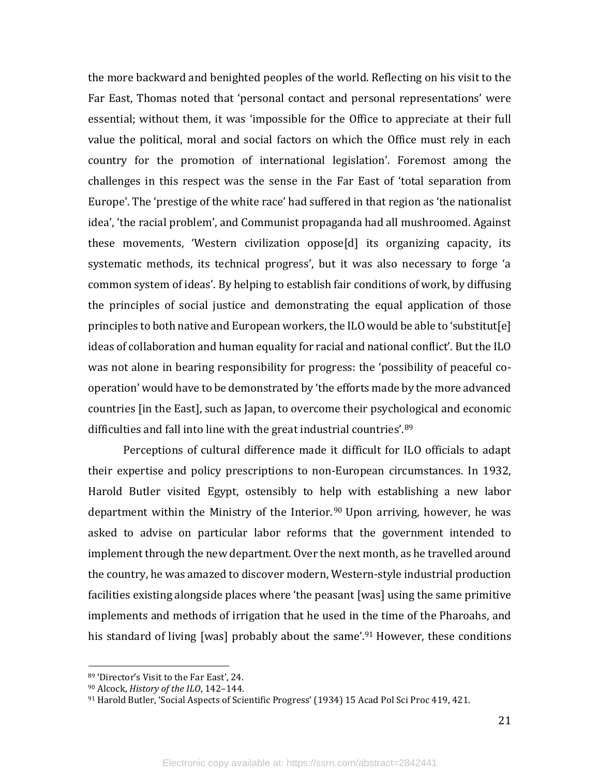the more backward and benighted peoples of the world. Reflecting on his visit to the Far East, Thomas noted that 'personal contact and personal representations' were essential; without them, it was 'impossible for the Office to appreciate at their full value the political, moral and social factors on which the Office must rely in each country for the promotion of international legislation'. Foremost among the challenges in this respect was the sense in the Far East of 'total separation from Europe'. The 'prestige of the white race' had suffered in that region as 'the nationalist idea', 'the racial problem', and Communist propaganda had all mushroomed. Against these movements, 'Western civilization oppose[d] its organizing capacity, its systematic methods, its technical progress', but it was also necessary to forge 'a common system of ideas'. By helping to establish fair conditions of work, by diffusing the principles of social justice and demonstrating the equal application of those principles to both native and European workers, the ILO would be able to 'substitut[e] ideas of collaboration and human equality for racial and national conflict'. But the ILO was not alone in bearing responsibility for progress: the 'possibility of peaceful cooperation' would have to be demonstrated by 'the efforts made by the more advanced countries [in the East], such as Japan, to overcome their psychological and economic difficulties and fall into line with the great industrial countries'.<sup>89</sup>

Perceptions of cultural difference made it difficult for ILO officials to adapt their expertise and policy prescriptions to non-European circumstances. In 1932, Harold Butler visited Egypt, ostensibly to help with establishing a new labor department within the Ministry of the Interior.<sup>90</sup> Upon arriving, however, he was asked to advise on particular labor reforms that the government intended to implement through the new department. Over the next month, as he travelled around the country, he was amazed to discover modern, Western-style industrial production facilities existing alongside places where 'the peasant [was] using the same primitive implements and methods of irrigation that he used in the time of the Pharoahs, and his standard of living [was] probably about the same'.<sup>91</sup> However, these conditions

<sup>89</sup> 'Director's Visit to the Far East', 24.

<sup>90</sup> Alcock, *History of the ILO*, 142–144.

<sup>91</sup> Harold Butler, 'Social Aspects of Scientific Progress' (1934) 15 Acad Pol Sci Proc 419, 421.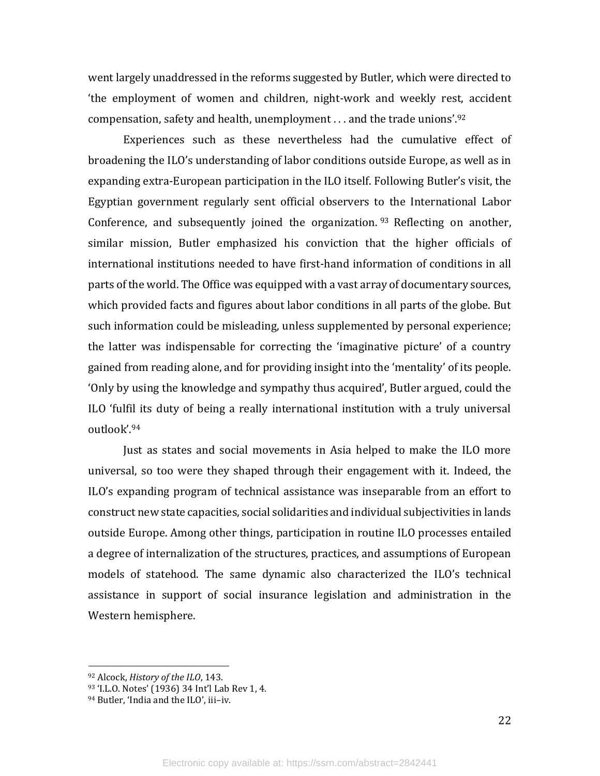went largely unaddressed in the reforms suggested by Butler, which were directed to 'the employment of women and children, night-work and weekly rest, accident compensation, safety and health, unemployment  $\dots$  and the trade unions'.<sup>92</sup>

Experiences such as these nevertheless had the cumulative effect of broadening the ILO's understanding of labor conditions outside Europe, as well as in expanding extra-European participation in the ILO itself. Following Butler's visit, the Egyptian government regularly sent official observers to the International Labor Conference, and subsequently joined the organization.  $93$  Reflecting on another, similar mission, Butler emphasized his conviction that the higher officials of international institutions needed to have first-hand information of conditions in all parts of the world. The Office was equipped with a vast array of documentary sources, which provided facts and figures about labor conditions in all parts of the globe. But such information could be misleading, unless supplemented by personal experience; the latter was indispensable for correcting the 'imaginative picture' of a country gained from reading alone, and for providing insight into the 'mentality' of its people. 'Only by using the knowledge and sympathy thus acquired', Butler argued, could the ILO 'fulfil its duty of being a really international institution with a truly universal outlook'.<sup>94</sup>

Just as states and social movements in Asia helped to make the ILO more universal, so too were they shaped through their engagement with it. Indeed, the ILO's expanding program of technical assistance was inseparable from an effort to construct new state capacities, social solidarities and individual subjectivities in lands outside Europe. Among other things, participation in routine ILO processes entailed a degree of internalization of the structures, practices, and assumptions of European models of statehood. The same dynamic also characterized the ILO's technical assistance in support of social insurance legislation and administration in the Western hemisphere.

<sup>92</sup> Alcock, *History of the ILO*, 143.

<sup>93</sup> 'I.L.O. Notes' (1936) 34 Int'l Lab Rev 1, 4.

<sup>94</sup> Butler, 'India and the ILO', iii–iv.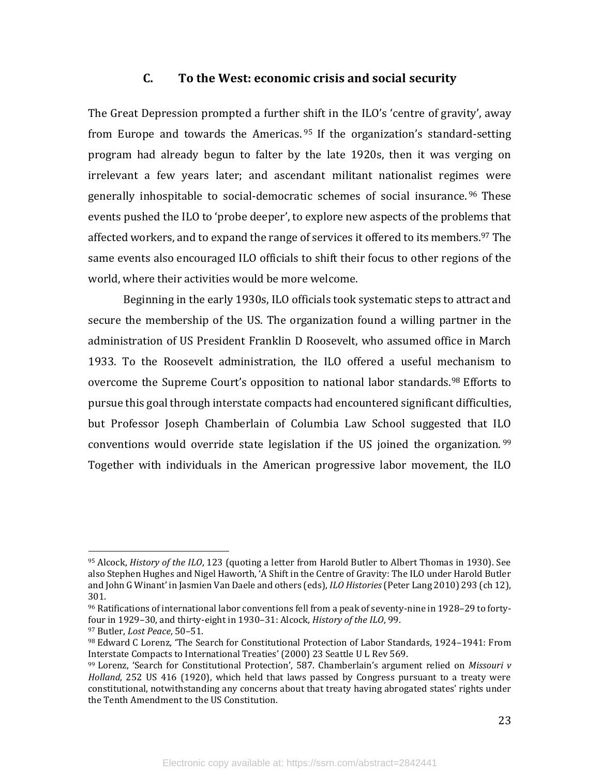#### **C. To the West: economic crisis and social security**

The Great Depression prompted a further shift in the ILO's 'centre of gravity', away from Europe and towards the Americas.<sup>95</sup> If the organization's standard-setting program had already begun to falter by the late 1920s, then it was verging on irrelevant a few years later; and ascendant militant nationalist regimes were generally inhospitable to social-democratic schemes of social insurance. <sup>96</sup> These events pushed the ILO to 'probe deeper', to explore new aspects of the problems that affected workers, and to expand the range of services it offered to its members.<sup>97</sup> The same events also encouraged ILO officials to shift their focus to other regions of the world, where their activities would be more welcome.

Beginning in the early 1930s, ILO officials took systematic steps to attract and secure the membership of the US. The organization found a willing partner in the administration of US President Franklin D Roosevelt, who assumed office in March 1933. To the Roosevelt administration, the ILO offered a useful mechanism to overcome the Supreme Court's opposition to national labor standards.<sup>98</sup> Efforts to pursue this goal through interstate compacts had encountered significant difficulties, but Professor Joseph Chamberlain of Columbia Law School suggested that ILO conventions would override state legislation if the US joined the organization. <sup>99</sup> Together with individuals in the American progressive labor movement, the ILO

<sup>95</sup> Alcock, *History of the ILO*, 123 (quoting a letter from Harold Butler to Albert Thomas in 1930). See also Stephen Hughes and Nigel Haworth, 'A Shift in the Centre of Gravity: The ILO under Harold Butler and John G Winant' in Jasmien Van Daele and others (eds), *ILO Histories* (Peter Lang 2010) 293 (ch 12), 301.

<sup>96</sup> Ratifications of international labor conventions fell from a peak of seventy-nine in 1928–29 to fortyfour in 1929–30, and thirty-eight in 1930–31: Alcock, *History of the ILO*, 99.

<sup>97</sup> Butler, *Lost Peace*, 50–51.

<sup>98</sup> Edward C Lorenz, 'The Search for Constitutional Protection of Labor Standards, 1924–1941: From Interstate Compacts to International Treaties' (2000) 23 Seattle U L Rev 569.

<sup>99</sup> Lorenz, 'Search for Constitutional Protection', 587. Chamberlain's argument relied on *Missouri v Holland*, 252 US 416 (1920), which held that laws passed by Congress pursuant to a treaty were constitutional, notwithstanding any concerns about that treaty having abrogated states' rights under the Tenth Amendment to the US Constitution.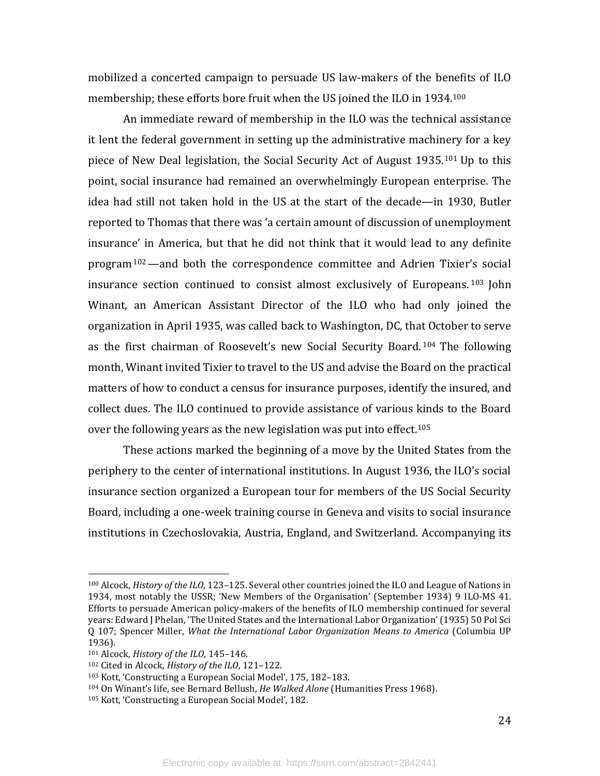mobilized a concerted campaign to persuade US law-makers of the benefits of ILO membership; these efforts bore fruit when the US joined the ILO in 1934.<sup>100</sup>

An immediate reward of membership in the ILO was the technical assistance it lent the federal government in setting up the administrative machinery for a key piece of New Deal legislation, the Social Security Act of August 1935.<sup>101</sup> Up to this point, social insurance had remained an overwhelmingly European enterprise. The idea had still not taken hold in the US at the start of the decade—in 1930, Butler reported to Thomas that there was 'a certain amount of discussion of unemployment insurance' in America, but that he did not think that it would lead to any definite program102—and both the correspondence committee and Adrien Tixier's social insurance section continued to consist almost exclusively of Europeans. <sup>103</sup> John Winant, an American Assistant Director of the ILO who had only joined the organization in April 1935, was called back to Washington, DC, that October to serve as the first chairman of Roosevelt's new Social Security Board. <sup>104</sup> The following month, Winant invited Tixier to travel to the US and advise the Board on the practical matters of how to conduct a census for insurance purposes, identify the insured, and collect dues. The ILO continued to provide assistance of various kinds to the Board over the following years as the new legislation was put into effect.<sup>105</sup>

These actions marked the beginning of a move by the United States from the periphery to the center of international institutions. In August 1936, the ILO's social insurance section organized a European tour for members of the US Social Security Board, including a one-week training course in Geneva and visits to social insurance institutions in Czechoslovakia, Austria, England, and Switzerland. Accompanying its

<sup>100</sup> Alcock, *History of the ILO*, 123–125. Several other countries joined the ILO and League of Nations in 1934, most notably the USSR; 'New Members of the Organisation' (September 1934) 9 ILO-MS 41. Efforts to persuade American policy-makers of the benefits of ILO membership continued for several years: Edward J Phelan, 'The United States and the International Labor Organization' (1935) 50 Pol Sci Q 107; Spencer Miller, *What the International Labor Organization Means to America* (Columbia UP 1936).

<sup>101</sup> Alcock, *History of the ILO*, 145–146.

<sup>102</sup> Cited in Alcock, *History of the ILO*, 121–122.

<sup>103</sup> Kott, 'Constructing a European Social Model', 175, 182–183.

<sup>104</sup> On Winant's life, see Bernard Bellush, *He Walked Alone* (Humanities Press 1968).

<sup>105</sup> Kott, 'Constructing a European Social Model', 182.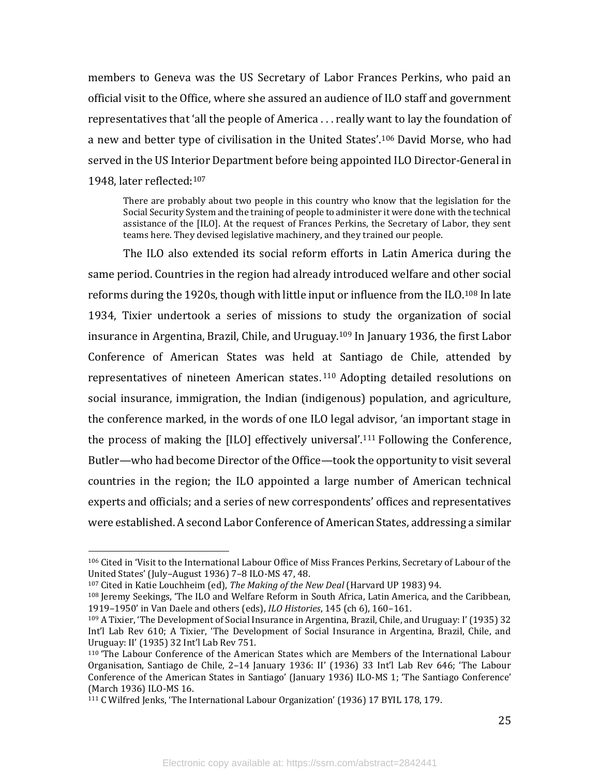members to Geneva was the US Secretary of Labor Frances Perkins, who paid an official visit to the Office, where she assured an audience of ILO staff and government representatives that 'all the people of America . . . really want to lay the foundation of a new and better type of civilisation in the United States'.<sup>106</sup> David Morse, who had served in the US Interior Department before being appointed ILO Director-General in 1948, later reflected:<sup>107</sup>

There are probably about two people in this country who know that the legislation for the Social Security System and the training of people to administer it were done with the technical assistance of the [ILO]. At the request of Frances Perkins, the Secretary of Labor, they sent teams here. They devised legislative machinery, and they trained our people.

The ILO also extended its social reform efforts in Latin America during the same period. Countries in the region had already introduced welfare and other social reforms during the 1920s, though with little input or influence from the ILO.<sup>108</sup> In late 1934, Tixier undertook a series of missions to study the organization of social insurance in Argentina, Brazil, Chile, and Uruguay.<sup>109</sup> In January 1936, the first Labor Conference of American States was held at Santiago de Chile, attended by representatives of nineteen American states. <sup>110</sup> Adopting detailed resolutions on social insurance, immigration, the Indian (indigenous) population, and agriculture, the conference marked, in the words of one ILO legal advisor, 'an important stage in the process of making the [ILO] effectively universal'.<sup>111</sup> Following the Conference, Butler—who had become Director of the Office—took the opportunity to visit several countries in the region; the ILO appointed a large number of American technical experts and officials; and a series of new correspondents' offices and representatives were established. A second Labor Conference of American States, addressing a similar

<sup>106</sup> Cited in 'Visit to the International Labour Office of Miss Frances Perkins, Secretary of Labour of the United States' (July–August 1936) 7–8 ILO-MS 47, 48.

<sup>107</sup> Cited in Katie Louchheim (ed), *The Making of the New Deal* (Harvard UP 1983) 94.

<sup>108</sup> Jeremy Seekings, 'The ILO and Welfare Reform in South Africa, Latin America, and the Caribbean, 1919–1950' in Van Daele and others (eds), *ILO Histories*, 145 (ch 6), 160–161.

<sup>109</sup> A Tixier, 'The Development of Social Insurance in Argentina, Brazil, Chile, and Uruguay: I' (1935) 32 Int'l Lab Rev 610; A Tixier, 'The Development of Social Insurance in Argentina, Brazil, Chile, and Uruguay: II' (1935) 32 Int'l Lab Rev 751.

<sup>110</sup> 'The Labour Conference of the American States which are Members of the International Labour Organisation, Santiago de Chile, 2–14 January 1936: II' (1936) 33 Int'l Lab Rev 646; 'The Labour Conference of the American States in Santiago' (January 1936) ILO-MS 1; 'The Santiago Conference' (March 1936) ILO-MS 16.

<sup>111</sup> C Wilfred Jenks, 'The International Labour Organization' (1936) 17 BYIL 178, 179.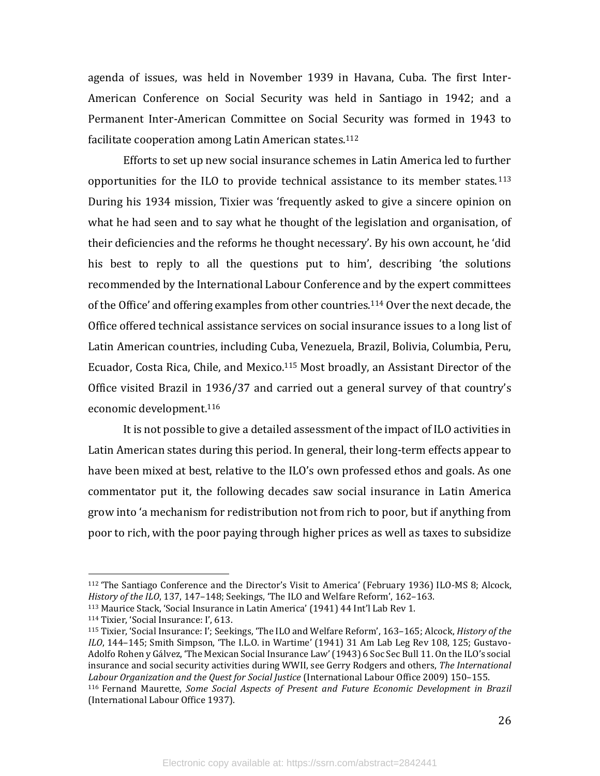agenda of issues, was held in November 1939 in Havana, Cuba. The first Inter-American Conference on Social Security was held in Santiago in 1942; and a Permanent Inter-American Committee on Social Security was formed in 1943 to facilitate cooperation among Latin American states.<sup>112</sup>

Efforts to set up new social insurance schemes in Latin America led to further opportunities for the ILO to provide technical assistance to its member states.<sup>113</sup> During his 1934 mission, Tixier was 'frequently asked to give a sincere opinion on what he had seen and to say what he thought of the legislation and organisation, of their deficiencies and the reforms he thought necessary'. By his own account, he 'did his best to reply to all the questions put to him', describing 'the solutions recommended by the International Labour Conference and by the expert committees of the Office' and offering examples from other countries.<sup>114</sup> Over the next decade, the Office offered technical assistance services on social insurance issues to a long list of Latin American countries, including Cuba, Venezuela, Brazil, Bolivia, Columbia, Peru, Ecuador, Costa Rica, Chile, and Mexico.<sup>115</sup> Most broadly, an Assistant Director of the Office visited Brazil in 1936/37 and carried out a general survey of that country's economic development.<sup>116</sup>

It is not possible to give a detailed assessment of the impact of ILO activities in Latin American states during this period. In general, their long-term effects appear to have been mixed at best, relative to the ILO's own professed ethos and goals. As one commentator put it, the following decades saw social insurance in Latin America grow into 'a mechanism for redistribution not from rich to poor, but if anything from poor to rich, with the poor paying through higher prices as well as taxes to subsidize

<sup>112</sup> 'The Santiago Conference and the Director's Visit to America' (February 1936) ILO-MS 8; Alcock, *History of the ILO*, 137, 147–148; Seekings, 'The ILO and Welfare Reform', 162–163. <sup>113</sup> Maurice Stack, 'Social Insurance in Latin America' (1941) 44 Int'l Lab Rev 1.

<sup>114</sup> Tixier, 'Social Insurance: I', 613.

<sup>115</sup> Tixier, 'Social Insurance: I'; Seekings, 'The ILO and Welfare Reform', 163–165; Alcock, *History of the ILO*, 144–145; Smith Simpson, 'The I.L.O. in Wartime' (1941) 31 Am Lab Leg Rev 108, 125; Gustavo-Adolfo Rohen y Gálvez, 'The Mexican Social Insurance Law' (1943) 6 Soc Sec Bull 11. On the ILO's social insurance and social security activities during WWII, see Gerry Rodgers and others, *The International Labour Organization and the Quest for Social Justice* (International Labour Office 2009) 150–155. <sup>116</sup> Fernand Maurette, *Some Social Aspects of Present and Future Economic Development in Brazil* (International Labour Office 1937).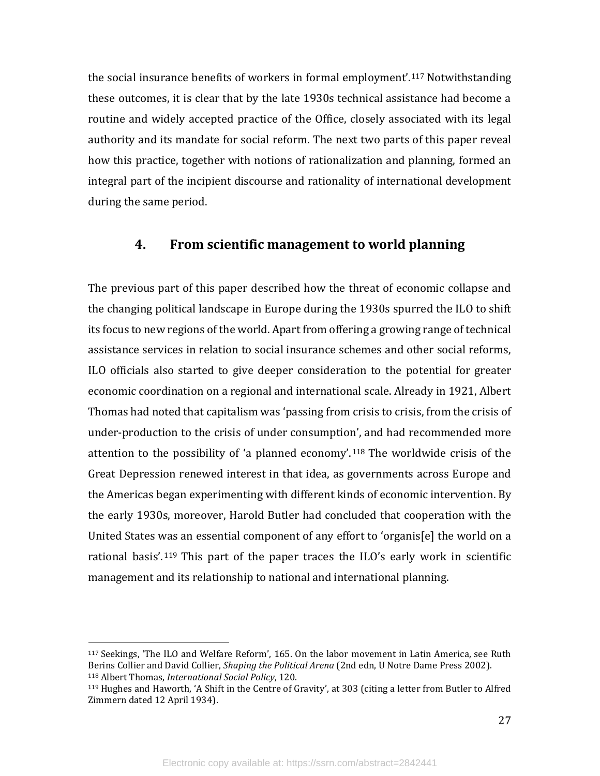the social insurance benefits of workers in formal employment'.<sup>117</sup> Notwithstanding these outcomes, it is clear that by the late 1930s technical assistance had become a routine and widely accepted practice of the Office, closely associated with its legal authority and its mandate for social reform. The next two parts of this paper reveal how this practice, together with notions of rationalization and planning, formed an integral part of the incipient discourse and rationality of international development during the same period.

## **4. From scientific management to world planning**

The previous part of this paper described how the threat of economic collapse and the changing political landscape in Europe during the 1930s spurred the ILO to shift its focus to new regions of the world. Apart from offering a growing range of technical assistance services in relation to social insurance schemes and other social reforms, ILO officials also started to give deeper consideration to the potential for greater economic coordination on a regional and international scale. Already in 1921, Albert Thomas had noted that capitalism was 'passing from crisis to crisis, from the crisis of under-production to the crisis of under consumption', and had recommended more attention to the possibility of 'a planned economy'.<sup>118</sup> The worldwide crisis of the Great Depression renewed interest in that idea, as governments across Europe and the Americas began experimenting with different kinds of economic intervention. By the early 1930s, moreover, Harold Butler had concluded that cooperation with the United States was an essential component of any effort to 'organis[e] the world on a rational basis'.<sup>119</sup> This part of the paper traces the ILO's early work in scientific management and its relationship to national and international planning.

<sup>117</sup> Seekings, 'The ILO and Welfare Reform', 165. On the labor movement in Latin America, see Ruth Berins Collier and David Collier, *Shaping the Political Arena* (2nd edn, U Notre Dame Press 2002). <sup>118</sup> Albert Thomas, *International Social Policy*, 120.

<sup>119</sup> Hughes and Haworth, 'A Shift in the Centre of Gravity', at 303 (citing a letter from Butler to Alfred Zimmern dated 12 April 1934).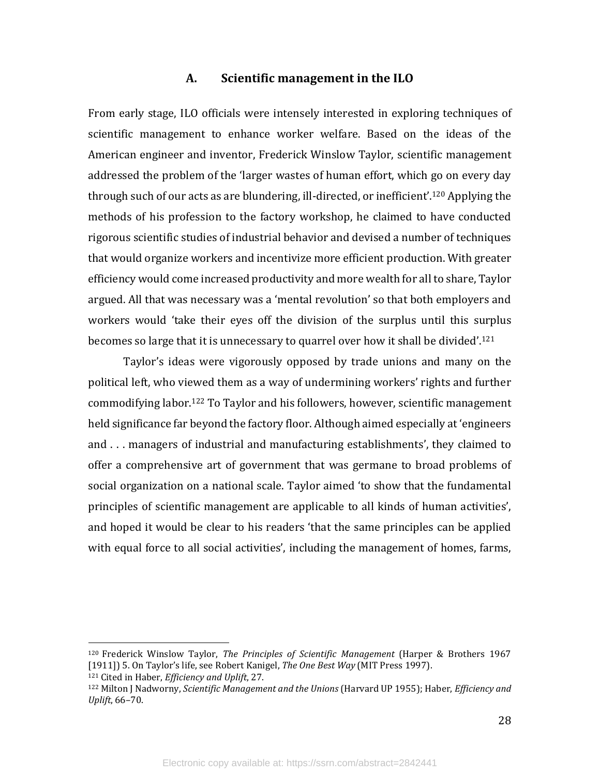#### **A. Scientific management in the ILO**

From early stage, ILO officials were intensely interested in exploring techniques of scientific management to enhance worker welfare. Based on the ideas of the American engineer and inventor, Frederick Winslow Taylor, scientific management addressed the problem of the 'larger wastes of human effort, which go on every day through such of our acts as are blundering, ill-directed, or inefficient'.<sup>120</sup> Applying the methods of his profession to the factory workshop, he claimed to have conducted rigorous scientific studies of industrial behavior and devised a number of techniques that would organize workers and incentivize more efficient production. With greater efficiency would come increased productivity and more wealth for all to share, Taylor argued. All that was necessary was a 'mental revolution' so that both employers and workers would 'take their eyes off the division of the surplus until this surplus becomes so large that it is unnecessary to quarrel over how it shall be divided'.<sup>121</sup>

Taylor's ideas were vigorously opposed by trade unions and many on the political left, who viewed them as a way of undermining workers' rights and further commodifying labor.<sup>122</sup> To Taylor and his followers, however, scientific management held significance far beyond the factory floor. Although aimed especially at 'engineers and . . . managers of industrial and manufacturing establishments', they claimed to offer a comprehensive art of government that was germane to broad problems of social organization on a national scale. Taylor aimed 'to show that the fundamental principles of scientific management are applicable to all kinds of human activities', and hoped it would be clear to his readers 'that the same principles can be applied with equal force to all social activities', including the management of homes, farms,

<sup>120</sup> Frederick Winslow Taylor, *The Principles of Scientific Management* (Harper & Brothers 1967 [1911]) 5. On Taylor's life, see Robert Kanigel, *The One Best Way* (MIT Press 1997). <sup>121</sup> Cited in Haber, *Efficiency and Uplift*, 27.

<sup>122</sup> Milton J Nadworny, *Scientific Management and the Unions* (Harvard UP 1955); Haber, *Efficiency and Uplift*, 66–70.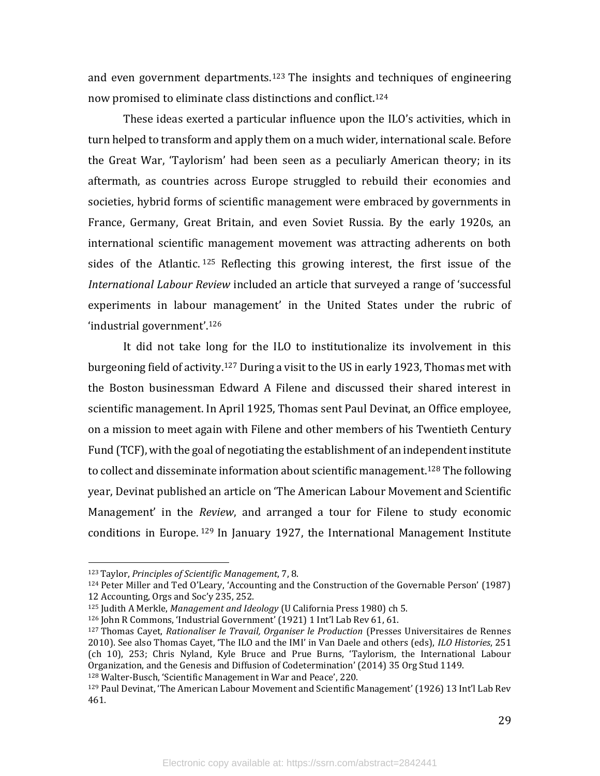and even government departments.<sup>123</sup> The insights and techniques of engineering now promised to eliminate class distinctions and conflict.<sup>124</sup>

These ideas exerted a particular influence upon the ILO's activities, which in turn helped to transform and apply them on a much wider, international scale. Before the Great War, 'Taylorism' had been seen as a peculiarly American theory; in its aftermath, as countries across Europe struggled to rebuild their economies and societies, hybrid forms of scientific management were embraced by governments in France, Germany, Great Britain, and even Soviet Russia. By the early 1920s, an international scientific management movement was attracting adherents on both sides of the Atlantic. <sup>125</sup> Reflecting this growing interest, the first issue of the *International Labour Review* included an article that surveyed a range of 'successful experiments in labour management' in the United States under the rubric of 'industrial government'.<sup>126</sup>

It did not take long for the ILO to institutionalize its involvement in this burgeoning field of activity.<sup>127</sup> During a visit to the US in early 1923, Thomas met with the Boston businessman Edward A Filene and discussed their shared interest in scientific management. In April 1925, Thomas sent Paul Devinat, an Office employee, on a mission to meet again with Filene and other members of his Twentieth Century Fund (TCF), with the goal of negotiating the establishment of an independent institute to collect and disseminate information about scientific management.<sup>128</sup> The following year, Devinat published an article on 'The American Labour Movement and Scientific Management' in the *Review*, and arranged a tour for Filene to study economic conditions in Europe. <sup>129</sup> In January 1927, the International Management Institute

<sup>123</sup> Taylor, *Principles of Scientific Management*, 7, 8.

<sup>124</sup> Peter Miller and Ted O'Leary, 'Accounting and the Construction of the Governable Person' (1987) 12 Accounting, Orgs and Soc'y 235, 252.

<sup>125</sup> Judith A Merkle, *Management and Ideology* (U California Press 1980) ch 5.

<sup>126</sup> John R Commons, 'Industrial Government' (1921) 1 Int'l Lab Rev 61, 61.

<sup>127</sup> Thomas Cayet, *Rationaliser le Travail, Organiser le Production* (Presses Universitaires de Rennes 2010). See also Thomas Cayet, 'The ILO and the IMI' in Van Daele and others (eds), *ILO Histories*, 251 (ch 10), 253; Chris Nyland, Kyle Bruce and Prue Burns, 'Taylorism, the International Labour Organization, and the Genesis and Diffusion of Codetermination' (2014) 35 Org Stud 1149.

<sup>128</sup> Walter-Busch, 'Scientific Management in War and Peace', 220.

<sup>129</sup> Paul Devinat, 'The American Labour Movement and Scientific Management' (1926) 13 Int'l Lab Rev 461.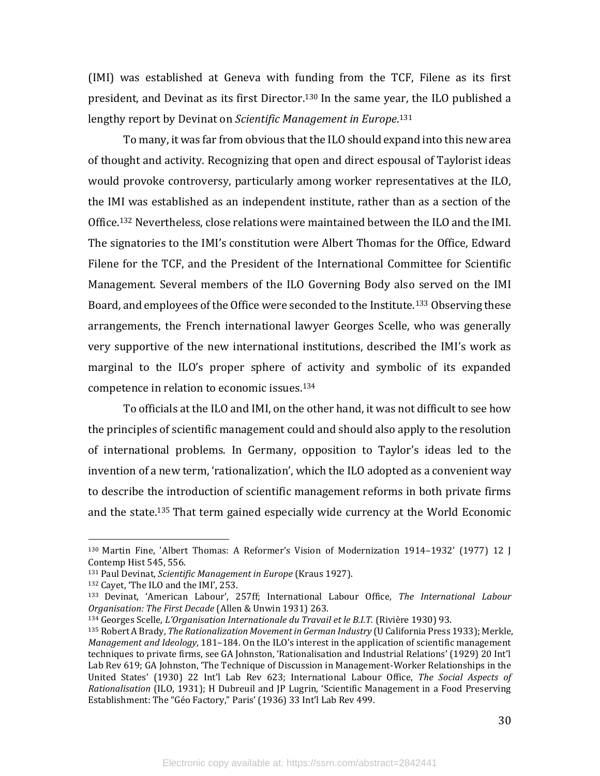(IMI) was established at Geneva with funding from the TCF, Filene as its first president, and Devinat as its first Director.<sup>130</sup> In the same year, the ILO published a lengthy report by Devinat on *Scientific Management in Europe*. 131

To many, it was far from obvious that the ILO should expand into this new area of thought and activity. Recognizing that open and direct espousal of Taylorist ideas would provoke controversy, particularly among worker representatives at the ILO, the IMI was established as an independent institute, rather than as a section of the Office.<sup>132</sup> Nevertheless, close relations were maintained between the ILO and the IMI. The signatories to the IMI's constitution were Albert Thomas for the Office, Edward Filene for the TCF, and the President of the International Committee for Scientific Management. Several members of the ILO Governing Body also served on the IMI Board, and employees of the Office were seconded to the Institute.<sup>133</sup> Observing these arrangements, the French international lawyer Georges Scelle, who was generally very supportive of the new international institutions, described the IMI's work as marginal to the ILO's proper sphere of activity and symbolic of its expanded competence in relation to economic issues.<sup>134</sup>

To officials at the ILO and IMI, on the other hand, it was not difficult to see how the principles of scientific management could and should also apply to the resolution of international problems. In Germany, opposition to Taylor's ideas led to the invention of a new term, 'rationalization', which the ILO adopted as a convenient way to describe the introduction of scientific management reforms in both private firms and the state.<sup>135</sup> That term gained especially wide currency at the World Economic

<sup>130</sup> Martin Fine, 'Albert Thomas: A Reformer's Vision of Modernization 1914–1932' (1977) 12 J Contemp Hist 545, 556.

<sup>131</sup> Paul Devinat, *Scientific Management in Europe* (Kraus 1927).

<sup>132</sup> Cayet, 'The ILO and the IMI', 253.

<sup>133</sup> Devinat, 'American Labour', 257ff; International Labour Office, *The International Labour Organisation: The First Decade* (Allen & Unwin 1931) 263.

<sup>134</sup> Georges Scelle, *L'Organisation Internationale du Travail et le B.I.T.* (Rivière 1930) 93.

<sup>135</sup> Robert A Brady, *The Rationalization Movement in German Industry* (U California Press 1933); Merkle, *Management and Ideology*, 181–184. On the ILO's interest in the application of scientific management techniques to private firms, see GA Johnston, 'Rationalisation and Industrial Relations' (1929) 20 Int'l Lab Rev 619; GA Johnston, 'The Technique of Discussion in Management-Worker Relationships in the United States' (1930) 22 Int'l Lab Rev 623; International Labour Office, *The Social Aspects of Rationalisation* (ILO, 1931); H Dubreuil and JP Lugrin, 'Scientific Management in a Food Preserving Establishment: The "Géo Factory," Paris' (1936) 33 Int'l Lab Rev 499.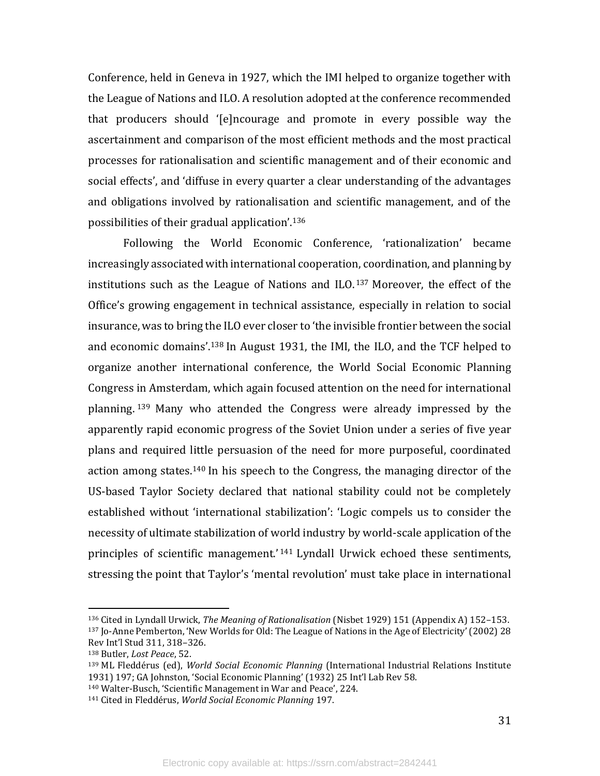Conference, held in Geneva in 1927, which the IMI helped to organize together with the League of Nations and ILO. A resolution adopted at the conference recommended that producers should '[e]ncourage and promote in every possible way the ascertainment and comparison of the most efficient methods and the most practical processes for rationalisation and scientific management and of their economic and social effects', and 'diffuse in every quarter a clear understanding of the advantages and obligations involved by rationalisation and scientific management, and of the possibilities of their gradual application'.<sup>136</sup>

Following the World Economic Conference, 'rationalization' became increasingly associated with international cooperation, coordination, and planning by institutions such as the League of Nations and  $ILO$ .<sup>137</sup> Moreover, the effect of the Office's growing engagement in technical assistance, especially in relation to social insurance, was to bring the ILO ever closer to 'the invisible frontier between the social and economic domains'.<sup>138</sup> In August 1931, the IMI, the ILO, and the TCF helped to organize another international conference, the World Social Economic Planning Congress in Amsterdam, which again focused attention on the need for international planning. <sup>139</sup> Many who attended the Congress were already impressed by the apparently rapid economic progress of the Soviet Union under a series of five year plans and required little persuasion of the need for more purposeful, coordinated action among states.<sup>140</sup> In his speech to the Congress, the managing director of the US-based Taylor Society declared that national stability could not be completely established without 'international stabilization': 'Logic compels us to consider the necessity of ultimate stabilization of world industry by world-scale application of the principles of scientific management.' <sup>141</sup> Lyndall Urwick echoed these sentiments, stressing the point that Taylor's 'mental revolution' must take place in international

<sup>136</sup> Cited in Lyndall Urwick, *The Meaning of Rationalisation* (Nisbet 1929) 151 (Appendix A) 152–153. <sup>137</sup> Jo-Anne Pemberton, 'New Worlds for Old: The League of Nations in the Age of Electricity' (2002) 28 Rev Int'l Stud 311, 318–326.

<sup>138</sup> Butler, *Lost Peace*, 52.

<sup>139</sup> ML Fleddérus (ed), *World Social Economic Planning* (International Industrial Relations Institute 1931) 197; GA Johnston, 'Social Economic Planning' (1932) 25 Int'l Lab Rev 58.

<sup>140</sup> Walter-Busch, 'Scientific Management in War and Peace', 224.

<sup>141</sup> Cited in Fleddérus, *World Social Economic Planning* 197.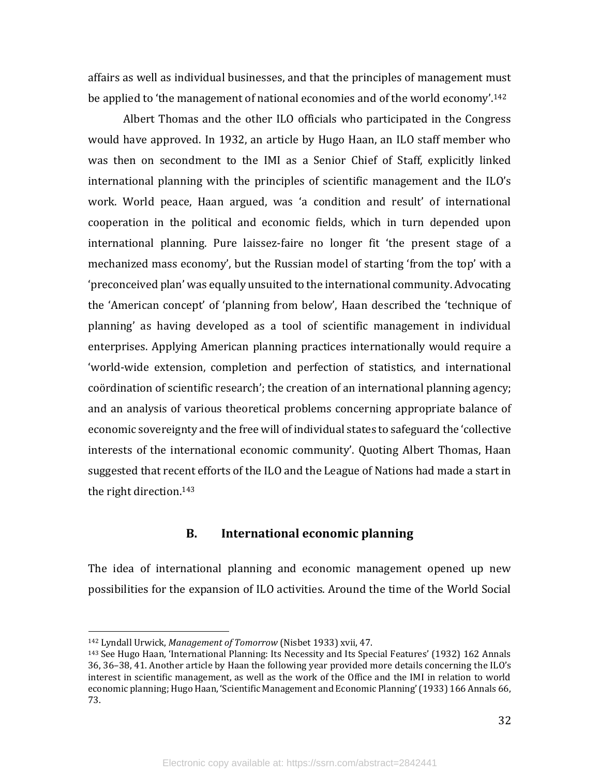affairs as well as individual businesses, and that the principles of management must be applied to 'the management of national economies and of the world economy'.<sup>142</sup>

Albert Thomas and the other ILO officials who participated in the Congress would have approved. In 1932, an article by Hugo Haan, an ILO staff member who was then on secondment to the IMI as a Senior Chief of Staff, explicitly linked international planning with the principles of scientific management and the ILO's work. World peace, Haan argued, was 'a condition and result' of international cooperation in the political and economic fields, which in turn depended upon international planning. Pure laissez-faire no longer fit 'the present stage of a mechanized mass economy', but the Russian model of starting 'from the top' with a 'preconceived plan' was equally unsuited to the international community. Advocating the 'American concept' of 'planning from below', Haan described the 'technique of planning' as having developed as a tool of scientific management in individual enterprises. Applying American planning practices internationally would require a 'world-wide extension, completion and perfection of statistics, and international coördination of scientific research'; the creation of an international planning agency; and an analysis of various theoretical problems concerning appropriate balance of economic sovereignty and the free will of individual states to safeguard the 'collective interests of the international economic community'. Quoting Albert Thomas, Haan suggested that recent efforts of the ILO and the League of Nations had made a start in the right direction.<sup>143</sup>

#### **B. International economic planning**

The idea of international planning and economic management opened up new possibilities for the expansion of ILO activities. Around the time of the World Social

<sup>142</sup> Lyndall Urwick, *Management of Tomorrow* (Nisbet 1933) xvii, 47.

<sup>143</sup> See Hugo Haan, 'International Planning: Its Necessity and Its Special Features' (1932) 162 Annals 36, 36–38, 41. Another article by Haan the following year provided more details concerning the ILO's interest in scientific management, as well as the work of the Office and the IMI in relation to world economic planning; Hugo Haan, 'Scientific Management and Economic Planning' (1933) 166 Annals 66, 73.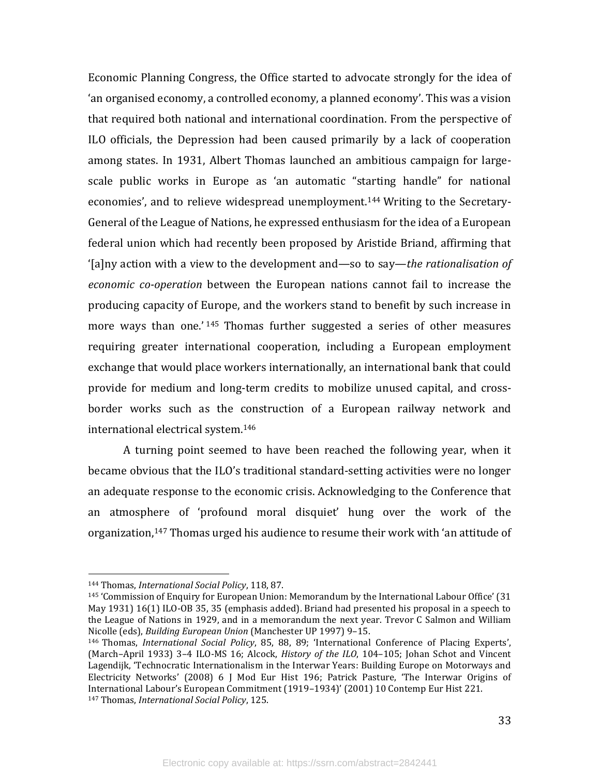Economic Planning Congress, the Office started to advocate strongly for the idea of 'an organised economy, a controlled economy, a planned economy'. This was a vision that required both national and international coordination. From the perspective of ILO officials, the Depression had been caused primarily by a lack of cooperation among states. In 1931, Albert Thomas launched an ambitious campaign for largescale public works in Europe as 'an automatic "starting handle" for national economies', and to relieve widespread unemployment.<sup>144</sup> Writing to the Secretary-General of the League of Nations, he expressed enthusiasm for the idea of a European federal union which had recently been proposed by Aristide Briand, affirming that '[a]ny action with a view to the development and—so to say—*the rationalisation of economic co-operation* between the European nations cannot fail to increase the producing capacity of Europe, and the workers stand to benefit by such increase in more ways than one.<sup>'145</sup> Thomas further suggested a series of other measures requiring greater international cooperation, including a European employment exchange that would place workers internationally, an international bank that could provide for medium and long-term credits to mobilize unused capital, and crossborder works such as the construction of a European railway network and international electrical system.<sup>146</sup>

A turning point seemed to have been reached the following year, when it became obvious that the ILO's traditional standard-setting activities were no longer an adequate response to the economic crisis. Acknowledging to the Conference that an atmosphere of 'profound moral disquiet' hung over the work of the organization,<sup>147</sup> Thomas urged his audience to resume their work with 'an attitude of

<sup>144</sup> Thomas, *International Social Policy*, 118, 87.

<sup>145</sup> 'Commission of Enquiry for European Union: Memorandum by the International Labour Office' (31 May 1931) 16(1) ILO-OB 35, 35 (emphasis added). Briand had presented his proposal in a speech to the League of Nations in 1929, and in a memorandum the next year. Trevor C Salmon and William Nicolle (eds), *Building European Union* (Manchester UP 1997) 9–15.

<sup>146</sup> Thomas, *International Social Policy*, 85, 88, 89; 'International Conference of Placing Experts', (March–April 1933) 3–4 ILO-MS 16; Alcock, *History of the ILO*, 104–105; Johan Schot and Vincent Lagendijk, 'Technocratic Internationalism in the Interwar Years: Building Europe on Motorways and Electricity Networks' (2008) 6 J Mod Eur Hist 196; Patrick Pasture, 'The Interwar Origins of International Labour's European Commitment (1919–1934)' (2001) 10 Contemp Eur Hist 221. <sup>147</sup> Thomas, *International Social Policy*, 125.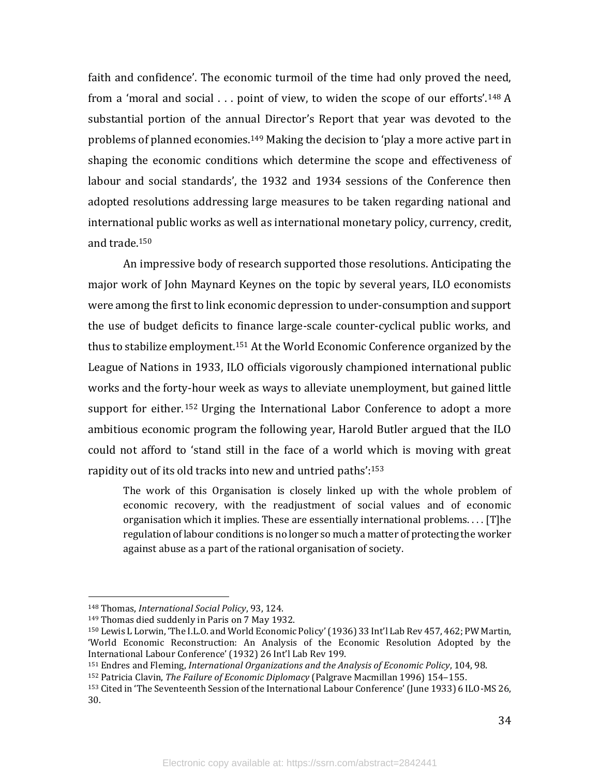faith and confidence'. The economic turmoil of the time had only proved the need, from a 'moral and social  $\ldots$  point of view, to widen the scope of our efforts'.<sup>148</sup> A substantial portion of the annual Director's Report that year was devoted to the problems of planned economies.<sup>149</sup> Making the decision to 'play a more active part in shaping the economic conditions which determine the scope and effectiveness of labour and social standards', the 1932 and 1934 sessions of the Conference then adopted resolutions addressing large measures to be taken regarding national and international public works as well as international monetary policy, currency, credit, and trade.<sup>150</sup>

An impressive body of research supported those resolutions. Anticipating the major work of John Maynard Keynes on the topic by several years, ILO economists were among the first to link economic depression to under-consumption and support the use of budget deficits to finance large-scale counter-cyclical public works, and thus to stabilize employment.<sup>151</sup> At the World Economic Conference organized by the League of Nations in 1933, ILO officials vigorously championed international public works and the forty-hour week as ways to alleviate unemployment, but gained little support for either.<sup>152</sup> Urging the International Labor Conference to adopt a more ambitious economic program the following year, Harold Butler argued that the ILO could not afford to 'stand still in the face of a world which is moving with great rapidity out of its old tracks into new and untried paths':<sup>153</sup>

The work of this Organisation is closely linked up with the whole problem of economic recovery, with the readjustment of social values and of economic organisation which it implies. These are essentially international problems. . . . [T]he regulation of labour conditions is no longer so much a matter of protecting the worker against abuse as a part of the rational organisation of society.

<sup>148</sup> Thomas, *International Social Policy*, 93, 124.

<sup>149</sup> Thomas died suddenly in Paris on 7 May 1932.

<sup>150</sup> Lewis L Lorwin, 'The I.L.O. and World Economic Policy' (1936) 33 Int'l Lab Rev 457, 462; PW Martin, 'World Economic Reconstruction: An Analysis of the Economic Resolution Adopted by the International Labour Conference' (1932) 26 Int'l Lab Rev 199.

<sup>151</sup> Endres and Fleming, *International Organizations and the Analysis of Economic Policy*, 104, 98. <sup>152</sup> Patricia Clavin, *The Failure of Economic Diplomacy* (Palgrave Macmillan 1996) 154–155.

<sup>153</sup> Cited in 'The Seventeenth Session of the International Labour Conference' (June 1933) 6 ILO-MS 26, 30.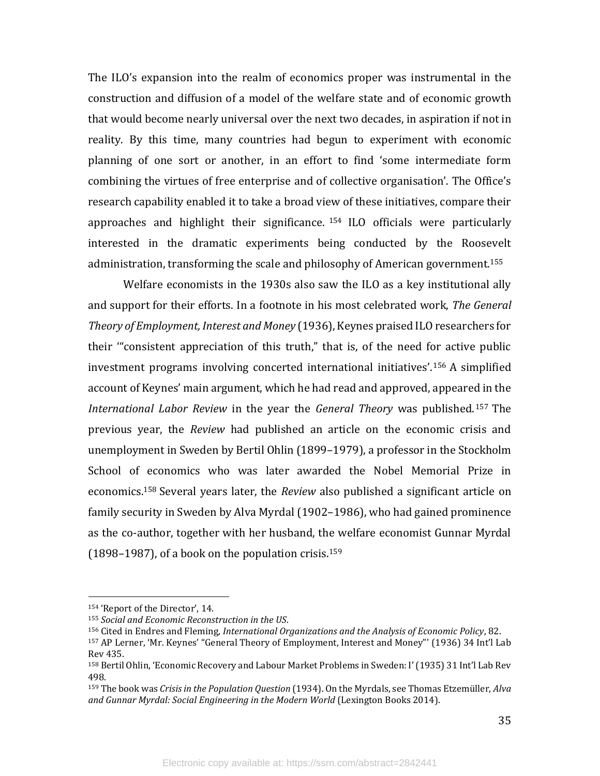The ILO's expansion into the realm of economics proper was instrumental in the construction and diffusion of a model of the welfare state and of economic growth that would become nearly universal over the next two decades, in aspiration if not in reality. By this time, many countries had begun to experiment with economic planning of one sort or another, in an effort to find 'some intermediate form combining the virtues of free enterprise and of collective organisation'. The Office's research capability enabled it to take a broad view of these initiatives, compare their approaches and highlight their significance. <sup>154</sup> ILO officials were particularly interested in the dramatic experiments being conducted by the Roosevelt administration, transforming the scale and philosophy of American government.<sup>155</sup>

Welfare economists in the 1930s also saw the ILO as a key institutional ally and support for their efforts. In a footnote in his most celebrated work, *The General Theory of Employment, Interest and Money* (1936), Keynes praised ILO researchers for their '"consistent appreciation of this truth," that is, of the need for active public investment programs involving concerted international initiatives'.<sup>156</sup> A simplified account of Keynes' main argument, which he had read and approved, appeared in the *International Labor Review* in the year the *General Theory* was published. <sup>157</sup> The previous year, the *Review* had published an article on the economic crisis and unemployment in Sweden by Bertil Ohlin (1899–1979), a professor in the Stockholm School of economics who was later awarded the Nobel Memorial Prize in economics.<sup>158</sup> Several years later, the *Review* also published a significant article on family security in Sweden by Alva Myrdal (1902–1986), who had gained prominence as the co-author, together with her husband, the welfare economist Gunnar Myrdal (1898–1987), of a book on the population crisis.<sup>159</sup>

<sup>154</sup> 'Report of the Director', 14.

<sup>155</sup> *Social and Economic Reconstruction in the US*.

<sup>156</sup> Cited in Endres and Fleming, *International Organizations and the Analysis of Economic Policy*, 82.

<sup>157</sup> AP Lerner, 'Mr. Keynes' "General Theory of Employment, Interest and Money"' (1936) 34 Int'l Lab Rev 435.

<sup>158</sup> Bertil Ohlin, 'Economic Recovery and Labour Market Problems in Sweden: I' (1935) 31 Int'l Lab Rev 498.

<sup>159</sup> The book was *Crisis in the Population Question* (1934). On the Myrdals, see Thomas Etzemüller, *Alva and Gunnar Myrdal: Social Engineering in the Modern World* (Lexington Books 2014).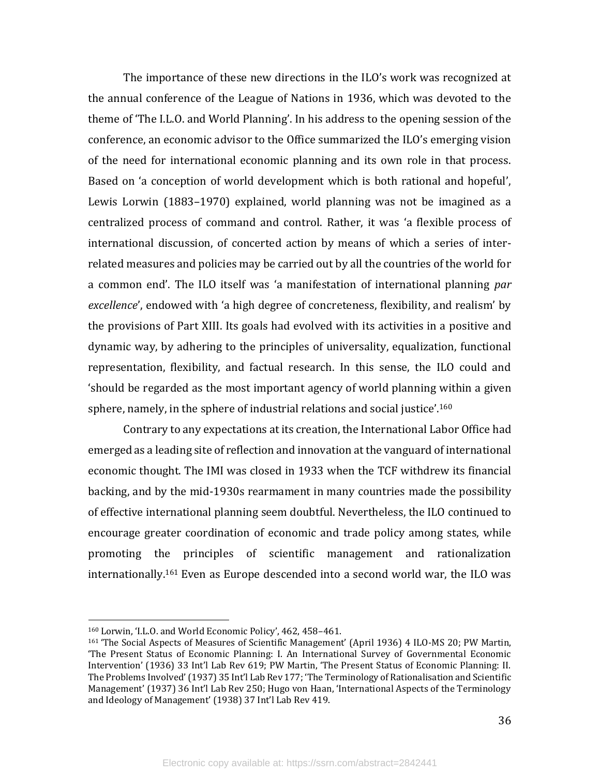The importance of these new directions in the ILO's work was recognized at the annual conference of the League of Nations in 1936, which was devoted to the theme of 'The I.L.O. and World Planning'. In his address to the opening session of the conference, an economic advisor to the Office summarized the ILO's emerging vision of the need for international economic planning and its own role in that process. Based on 'a conception of world development which is both rational and hopeful', Lewis Lorwin (1883–1970) explained, world planning was not be imagined as a centralized process of command and control. Rather, it was 'a flexible process of international discussion, of concerted action by means of which a series of interrelated measures and policies may be carried out by all the countries of the world for a common end'. The ILO itself was 'a manifestation of international planning *par excellence*', endowed with 'a high degree of concreteness, flexibility, and realism' by the provisions of Part XIII. Its goals had evolved with its activities in a positive and dynamic way, by adhering to the principles of universality, equalization, functional representation, flexibility, and factual research. In this sense, the ILO could and 'should be regarded as the most important agency of world planning within a given sphere, namely, in the sphere of industrial relations and social justice'.<sup>160</sup>

Contrary to any expectations at its creation, the International Labor Office had emerged as a leading site of reflection and innovation at the vanguard of international economic thought. The IMI was closed in 1933 when the TCF withdrew its financial backing, and by the mid-1930s rearmament in many countries made the possibility of effective international planning seem doubtful. Nevertheless, the ILO continued to encourage greater coordination of economic and trade policy among states, while promoting the principles of scientific management and rationalization internationally.<sup>161</sup> Even as Europe descended into a second world war, the ILO was

<sup>160</sup> Lorwin, 'I.L.O. and World Economic Policy', 462, 458–461.

<sup>161</sup> 'The Social Aspects of Measures of Scientific Management' (April 1936) 4 ILO-MS 20; PW Martin, 'The Present Status of Economic Planning: I. An International Survey of Governmental Economic Intervention' (1936) 33 Int'l Lab Rev 619; PW Martin, 'The Present Status of Economic Planning: II. The Problems Involved' (1937) 35 Int'l Lab Rev 177; 'The Terminology of Rationalisation and Scientific Management' (1937) 36 Int'l Lab Rev 250; Hugo von Haan, 'International Aspects of the Terminology and Ideology of Management' (1938) 37 Int'l Lab Rev 419.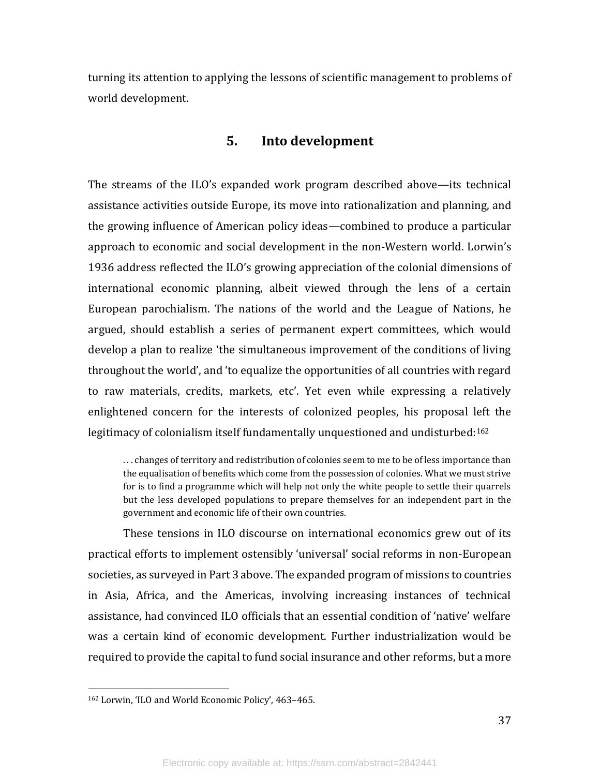turning its attention to applying the lessons of scientific management to problems of world development.

### **5. Into development**

The streams of the ILO's expanded work program described above—its technical assistance activities outside Europe, its move into rationalization and planning, and the growing influence of American policy ideas—combined to produce a particular approach to economic and social development in the non-Western world. Lorwin's 1936 address reflected the ILO's growing appreciation of the colonial dimensions of international economic planning, albeit viewed through the lens of a certain European parochialism. The nations of the world and the League of Nations, he argued, should establish a series of permanent expert committees, which would develop a plan to realize 'the simultaneous improvement of the conditions of living throughout the world', and 'to equalize the opportunities of all countries with regard to raw materials, credits, markets, etc'. Yet even while expressing a relatively enlightened concern for the interests of colonized peoples, his proposal left the legitimacy of colonialism itself fundamentally unquestioned and undisturbed: 162

. . . changes of territory and redistribution of colonies seem to me to be of less importance than the equalisation of benefits which come from the possession of colonies. What we must strive for is to find a programme which will help not only the white people to settle their quarrels but the less developed populations to prepare themselves for an independent part in the government and economic life of their own countries.

These tensions in ILO discourse on international economics grew out of its practical efforts to implement ostensibly 'universal' social reforms in non-European societies, as surveyed in Part 3 above. The expanded program of missions to countries in Asia, Africa, and the Americas, involving increasing instances of technical assistance, had convinced ILO officials that an essential condition of 'native' welfare was a certain kind of economic development. Further industrialization would be required to provide the capital to fund social insurance and other reforms, but a more

<sup>162</sup> Lorwin, 'ILO and World Economic Policy', 463–465.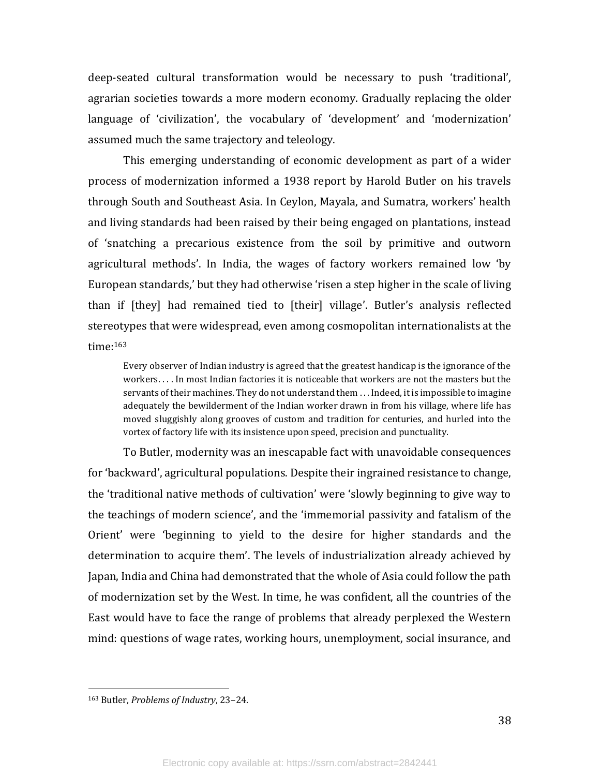deep-seated cultural transformation would be necessary to push 'traditional', agrarian societies towards a more modern economy. Gradually replacing the older language of 'civilization', the vocabulary of 'development' and 'modernization' assumed much the same trajectory and teleology.

This emerging understanding of economic development as part of a wider process of modernization informed a 1938 report by Harold Butler on his travels through South and Southeast Asia. In Ceylon, Mayala, and Sumatra, workers' health and living standards had been raised by their being engaged on plantations, instead of 'snatching a precarious existence from the soil by primitive and outworn agricultural methods'. In India, the wages of factory workers remained low 'by European standards,' but they had otherwise 'risen a step higher in the scale of living than if [they] had remained tied to [their] village'. Butler's analysis reflected stereotypes that were widespread, even among cosmopolitan internationalists at the time:<sup>163</sup>

Every observer of Indian industry is agreed that the greatest handicap is the ignorance of the workers. . . . In most Indian factories it is noticeable that workers are not the masters but the servants of their machines. They do not understand them . . . Indeed, it is impossible to imagine adequately the bewilderment of the Indian worker drawn in from his village, where life has moved sluggishly along grooves of custom and tradition for centuries, and hurled into the vortex of factory life with its insistence upon speed, precision and punctuality.

To Butler, modernity was an inescapable fact with unavoidable consequences for 'backward', agricultural populations. Despite their ingrained resistance to change, the 'traditional native methods of cultivation' were 'slowly beginning to give way to the teachings of modern science', and the 'immemorial passivity and fatalism of the Orient' were 'beginning to yield to the desire for higher standards and the determination to acquire them'. The levels of industrialization already achieved by Japan, India and China had demonstrated that the whole of Asia could follow the path of modernization set by the West. In time, he was confident, all the countries of the East would have to face the range of problems that already perplexed the Western mind: questions of wage rates, working hours, unemployment, social insurance, and

<sup>163</sup> Butler, *Problems of Industry*, 23–24.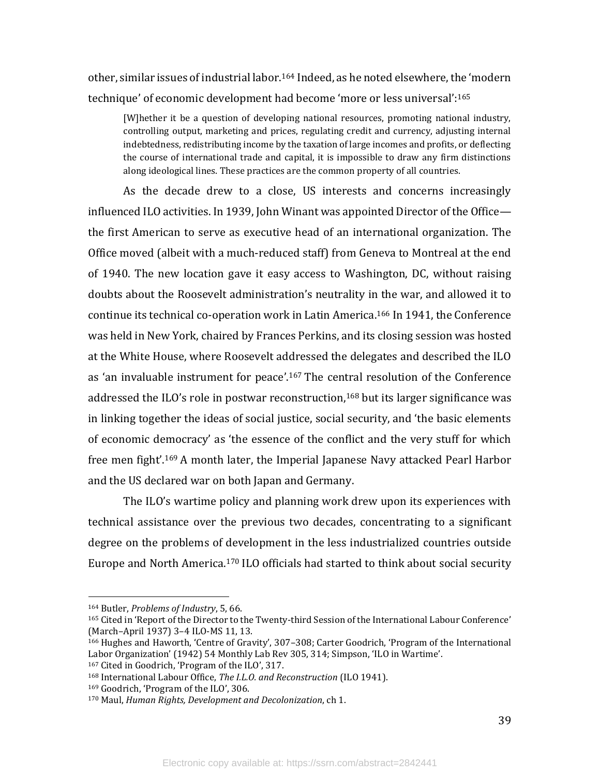other, similar issues of industrial labor.<sup>164</sup> Indeed, as he noted elsewhere, the 'modern technique' of economic development had become 'more or less universal':<sup>165</sup>

[W]hether it be a question of developing national resources, promoting national industry, controlling output, marketing and prices, regulating credit and currency, adjusting internal indebtedness, redistributing income by the taxation of large incomes and profits, or deflecting the course of international trade and capital, it is impossible to draw any firm distinctions along ideological lines. These practices are the common property of all countries.

As the decade drew to a close, US interests and concerns increasingly influenced ILO activities. In 1939, John Winant was appointed Director of the Office the first American to serve as executive head of an international organization. The Office moved (albeit with a much-reduced staff) from Geneva to Montreal at the end of 1940. The new location gave it easy access to Washington, DC, without raising doubts about the Roosevelt administration's neutrality in the war, and allowed it to continue its technical co-operation work in Latin America.<sup>166</sup> In 1941, the Conference was held in New York, chaired by Frances Perkins, and its closing session was hosted at the White House, where Roosevelt addressed the delegates and described the ILO as 'an invaluable instrument for peace'.<sup>167</sup> The central resolution of the Conference addressed the ILO's role in postwar reconstruction,<sup>168</sup> but its larger significance was in linking together the ideas of social justice, social security, and 'the basic elements of economic democracy' as 'the essence of the conflict and the very stuff for which free men fight'.<sup>169</sup> A month later, the Imperial Japanese Navy attacked Pearl Harbor and the US declared war on both Japan and Germany.

The ILO's wartime policy and planning work drew upon its experiences with technical assistance over the previous two decades, concentrating to a significant degree on the problems of development in the less industrialized countries outside Europe and North America.<sup>170</sup> ILO officials had started to think about social security

 $\overline{a}$ 

<sup>167</sup> Cited in Goodrich, 'Program of the ILO', 317.

<sup>164</sup> Butler, *Problems of Industry*, 5, 66.

<sup>165</sup> Cited in 'Report of the Director to the Twenty-third Session of the International Labour Conference' (March–April 1937) 3–4 ILO-MS 11, 13.

<sup>166</sup> Hughes and Haworth, 'Centre of Gravity', 307–308; Carter Goodrich, 'Program of the International Labor Organization' (1942) 54 Monthly Lab Rev 305, 314; Simpson, 'ILO in Wartime'.

<sup>168</sup> International Labour Office, *The I.L.O. and Reconstruction* (ILO 1941).

<sup>169</sup> Goodrich, 'Program of the ILO', 306.

<sup>170</sup> Maul, *Human Rights, Development and Decolonization*, ch 1.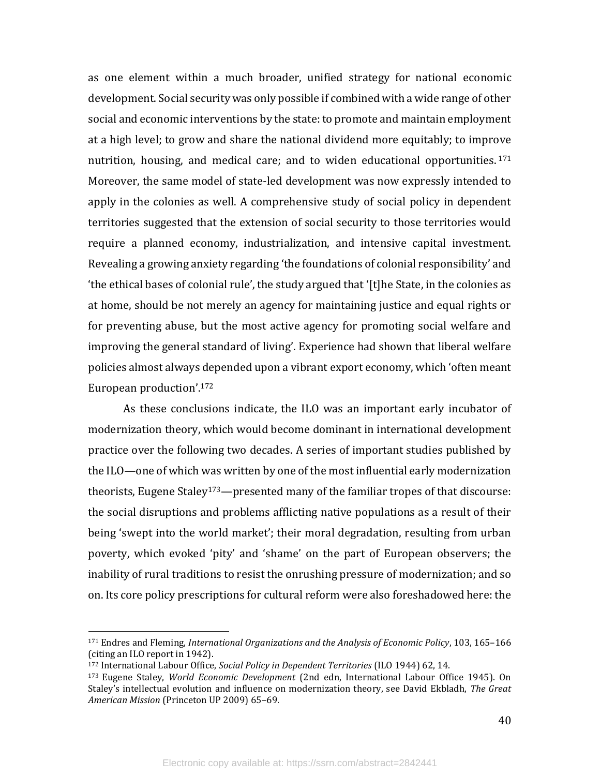as one element within a much broader, unified strategy for national economic development. Social security was only possible if combined with a wide range of other social and economic interventions by the state: to promote and maintain employment at a high level; to grow and share the national dividend more equitably; to improve nutrition, housing, and medical care; and to widen educational opportunities. <sup>171</sup> Moreover, the same model of state-led development was now expressly intended to apply in the colonies as well. A comprehensive study of social policy in dependent territories suggested that the extension of social security to those territories would require a planned economy, industrialization, and intensive capital investment. Revealing a growing anxiety regarding 'the foundations of colonial responsibility' and 'the ethical bases of colonial rule', the study argued that '[t]he State, in the colonies as at home, should be not merely an agency for maintaining justice and equal rights or for preventing abuse, but the most active agency for promoting social welfare and improving the general standard of living'. Experience had shown that liberal welfare policies almost always depended upon a vibrant export economy, which 'often meant European production'.<sup>172</sup>

As these conclusions indicate, the ILO was an important early incubator of modernization theory, which would become dominant in international development practice over the following two decades. A series of important studies published by the ILO—one of which was written by one of the most influential early modernization theorists, Eugene Staley<sup>173</sup>—presented many of the familiar tropes of that discourse: the social disruptions and problems afflicting native populations as a result of their being 'swept into the world market'; their moral degradation, resulting from urban poverty, which evoked 'pity' and 'shame' on the part of European observers; the inability of rural traditions to resist the onrushing pressure of modernization; and so on. Its core policy prescriptions for cultural reform were also foreshadowed here: the

<sup>171</sup> Endres and Fleming, *International Organizations and the Analysis of Economic Policy*, 103, 165–166 (citing an ILO report in 1942).

<sup>172</sup> International Labour Office, *Social Policy in Dependent Territories* (ILO 1944) 62, 14.

<sup>173</sup> Eugene Staley, *World Economic Development* (2nd edn, International Labour Office 1945). On Staley's intellectual evolution and influence on modernization theory, see David Ekbladh, *The Great American Mission* (Princeton UP 2009) 65–69.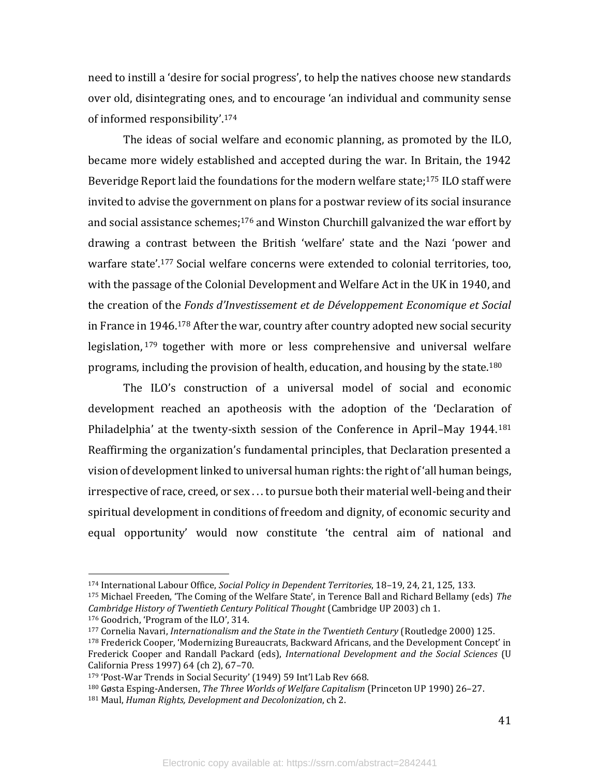need to instill a 'desire for social progress', to help the natives choose new standards over old, disintegrating ones, and to encourage 'an individual and community sense of informed responsibility'.<sup>174</sup>

The ideas of social welfare and economic planning, as promoted by the ILO, became more widely established and accepted during the war. In Britain, the 1942 Beveridge Report laid the foundations for the modern welfare state;<sup>175</sup> ILO staff were invited to advise the government on plans for a postwar review of its social insurance and social assistance schemes;<sup>176</sup> and Winston Churchill galvanized the war effort by drawing a contrast between the British 'welfare' state and the Nazi 'power and warfare state'.<sup>177</sup> Social welfare concerns were extended to colonial territories, too, with the passage of the Colonial Development and Welfare Act in the UK in 1940, and the creation of the *Fonds d'Investissement et de Développement Economique et Social* in France in 1946.<sup>178</sup> After the war, country after country adopted new social security legislation, <sup>179</sup> together with more or less comprehensive and universal welfare programs, including the provision of health, education, and housing by the state.<sup>180</sup>

The ILO's construction of a universal model of social and economic development reached an apotheosis with the adoption of the 'Declaration of Philadelphia' at the twenty-sixth session of the Conference in April–May 1944.<sup>181</sup> Reaffirming the organization's fundamental principles, that Declaration presented a vision of development linked to universal human rights: the right of 'all human beings, irrespective of race, creed, or sex . . . to pursue both their material well-being and their spiritual development in conditions of freedom and dignity, of economic security and equal opportunity' would now constitute 'the central aim of national and

<sup>176</sup> Goodrich, 'Program of the ILO', 314.

<sup>174</sup> International Labour Office, *Social Policy in Dependent Territories*, 18–19, 24, 21, 125, 133.

<sup>175</sup> Michael Freeden, 'The Coming of the Welfare State', in Terence Ball and Richard Bellamy (eds) *The Cambridge History of Twentieth Century Political Thought* (Cambridge UP 2003) ch 1.

<sup>177</sup> Cornelia Navari, *Internationalism and the State in the Twentieth Century* (Routledge 2000) 125.

<sup>178</sup> Frederick Cooper, 'Modernizing Bureaucrats, Backward Africans, and the Development Concept' in Frederick Cooper and Randall Packard (eds), *International Development and the Social Sciences* (U California Press 1997) 64 (ch 2), 67–70.

<sup>179</sup> 'Post-War Trends in Social Security' (1949) 59 Int'l Lab Rev 668.

<sup>180</sup> Gøsta Esping-Andersen, *The Three Worlds of Welfare Capitalism* (Princeton UP 1990) 26–27. <sup>181</sup> Maul, *Human Rights, Development and Decolonization*, ch 2.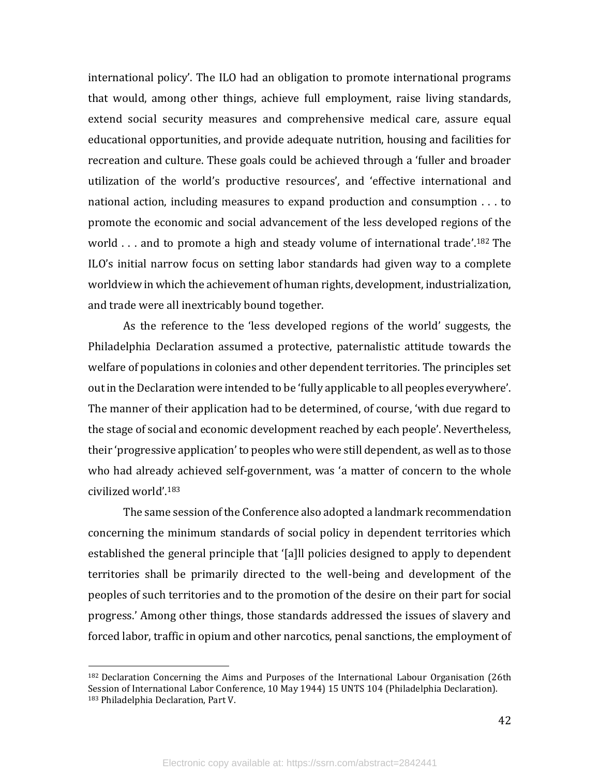international policy'. The ILO had an obligation to promote international programs that would, among other things, achieve full employment, raise living standards, extend social security measures and comprehensive medical care, assure equal educational opportunities, and provide adequate nutrition, housing and facilities for recreation and culture. These goals could be achieved through a 'fuller and broader utilization of the world's productive resources', and 'effective international and national action, including measures to expand production and consumption . . . to promote the economic and social advancement of the less developed regions of the world . . . and to promote a high and steady volume of international trade'.<sup>182</sup> The ILO's initial narrow focus on setting labor standards had given way to a complete worldview in which the achievement of human rights, development, industrialization, and trade were all inextricably bound together.

As the reference to the 'less developed regions of the world' suggests, the Philadelphia Declaration assumed a protective, paternalistic attitude towards the welfare of populations in colonies and other dependent territories. The principles set out in the Declaration were intended to be 'fully applicable to all peoples everywhere'. The manner of their application had to be determined, of course, 'with due regard to the stage of social and economic development reached by each people'. Nevertheless, their 'progressive application' to peoples who were still dependent, as well as to those who had already achieved self-government, was 'a matter of concern to the whole civilized world'.<sup>183</sup>

The same session of the Conference also adopted a landmark recommendation concerning the minimum standards of social policy in dependent territories which established the general principle that '[a]ll policies designed to apply to dependent territories shall be primarily directed to the well-being and development of the peoples of such territories and to the promotion of the desire on their part for social progress.' Among other things, those standards addressed the issues of slavery and forced labor, traffic in opium and other narcotics, penal sanctions, the employment of

<sup>&</sup>lt;sup>182</sup> Declaration Concerning the Aims and Purposes of the International Labour Organisation (26th Session of International Labor Conference, 10 May 1944) 15 UNTS 104 (Philadelphia Declaration). <sup>183</sup> Philadelphia Declaration, Part V.